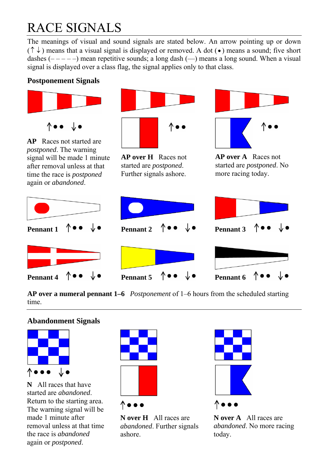## RACE SIGNALS

The meanings of visual and sound signals are stated below. An arrow pointing up or down  $(\uparrow \downarrow)$  means that a visual signal is displayed or removed. A dot ( $\bullet$ ) means a sound; five short dashes  $(----)$  mean repetitive sounds; a long dash  $(-)$  means a long sound. When a visual signal is displayed over a class flag, the signal applies only to that class.

#### **Postponement Signals**



**AP over a numeral pennant 1–6** *Postponement* of 1–6 hours from the scheduled starting time.

#### **Abandonment Signals**



**N** All races that have started are *abandoned*. Return to the starting area. The warning signal will be made 1 minute after removal unless at that time the race is *abandoned* again or *postponed*.



**N over H** All races are *abandoned*. Further signals ashore.



**N over A** All races are *abandoned*. No more racing today.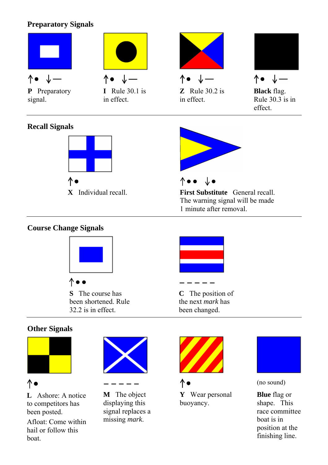#### **Preparatory Signals**



 $\bullet$   $\bullet$ **S** The course has been shortened. Rule 32.2 is in effect.

**C** The position of the next *mark* has been changed.

#### **Other Signals**



↑

**L** Ashore: A notice to competitors has been posted.

Afloat: Come within hail or follow this boat.





**M** The object displaying this signal replaces a missing *mark*.







(no sound)

**Blue** flag or shape. This race committee boat is in position at the finishing line.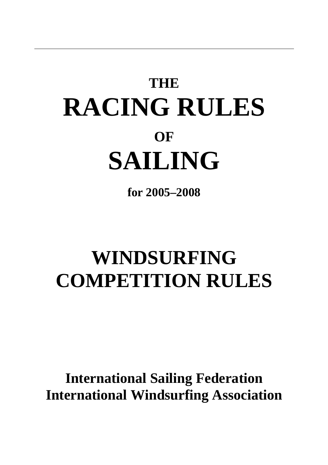# **THE RACING RULES OF SAILING**

**for 2005–2008** 

## **WINDSURFING COMPETITION RULES**

**International Sailing Federation International Windsurfing Association**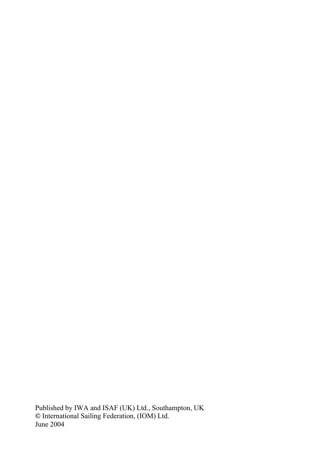Published by IWA and ISAF (UK) Ltd., Southampton, UK **©** International Sailing Federation, (IOM) Ltd. June 2004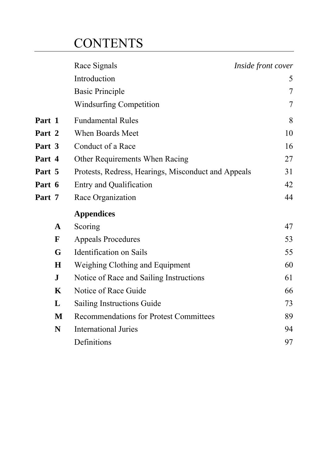### **CONTENTS**

|             | Race Signals                                        | Inside front cover |
|-------------|-----------------------------------------------------|--------------------|
|             | Introduction                                        | 5                  |
|             | <b>Basic Principle</b>                              | $\overline{7}$     |
|             | <b>Windsurfing Competition</b>                      | $\tau$             |
| Part 1      | <b>Fundamental Rules</b>                            | 8                  |
| Part 2      | <b>When Boards Meet</b>                             | 10                 |
| Part 3      | Conduct of a Race                                   | 16                 |
| Part 4      | Other Requirements When Racing                      | 27                 |
| Part 5      | Protests, Redress, Hearings, Misconduct and Appeals | 31                 |
| Part 6      | <b>Entry and Qualification</b>                      | 42                 |
| Part 7      | Race Organization                                   | 44                 |
|             | <b>Appendices</b>                                   |                    |
| $\mathbf A$ | Scoring                                             | 47                 |
| ${\bf F}$   | <b>Appeals Procedures</b>                           | 53                 |
| G           | <b>Identification</b> on Sails                      | 55                 |
| $\bf H$     | Weighing Clothing and Equipment                     | 60                 |
| ${\bf J}$   | Notice of Race and Sailing Instructions             | 61                 |
| K           | Notice of Race Guide                                | 66                 |
| L           | Sailing Instructions Guide                          | 73                 |
| M           | <b>Recommendations for Protest Committees</b>       | 89                 |
| N           | <b>International Juries</b>                         | 94                 |
|             | Definitions                                         | 97                 |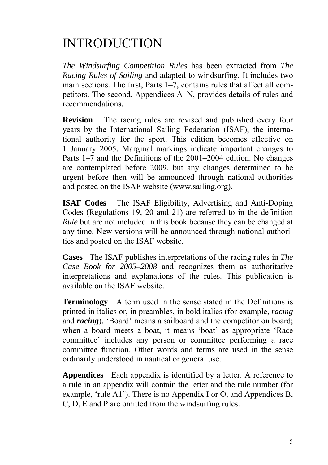### INTRODUCTION

*The Windsurfing Competition Rules* has been extracted from *The Racing Rules of Sailing* and adapted to windsurfing. It includes two main sections. The first, Parts 1–7, contains rules that affect all competitors. The second, Appendices A–N, provides details of rules and recommendations.

**Revision** The racing rules are revised and published every four years by the International Sailing Federation (ISAF), the international authority for the sport. This edition becomes effective on 1 January 2005. Marginal markings indicate important changes to Parts 1–7 and the Definitions of the 2001–2004 edition. No changes are contemplated before 2009, but any changes determined to be urgent before then will be announced through national authorities and posted on the ISAF website (www.sailing.org).

**ISAF Codes** The ISAF Eligibility, Advertising and Anti-Doping Codes (Regulations 19, 20 and 21) are referred to in the definition *Rule* but are not included in this book because they can be changed at any time. New versions will be announced through national authorities and posted on the ISAF website.

**Cases** The ISAF publishes interpretations of the racing rules in *The Case Book for 2005–2008* and recognizes them as authoritative interpretations and explanations of the rules. This publication is available on the ISAF website.

**Terminology** A term used in the sense stated in the Definitions is printed in italics or, in preambles, in bold italics (for example, *racing* and *racing*). 'Board' means a sailboard and the competitor on board; when a board meets a boat, it means 'boat' as appropriate 'Race committee' includes any person or committee performing a race committee function. Other words and terms are used in the sense ordinarily understood in nautical or general use.

**Appendices** Each appendix is identified by a letter. A reference to a rule in an appendix will contain the letter and the rule number (for example, 'rule A1'). There is no Appendix I or O, and Appendices B, C, D, E and P are omitted from the windsurfing rules.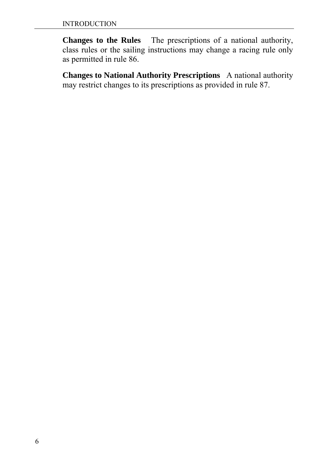**Changes to the Rules** The prescriptions of a national authority, class rules or the sailing instructions may change a racing rule only as permitted in rule 86.

**Changes to National Authority Prescriptions** A national authority may restrict changes to its prescriptions as provided in rule 87.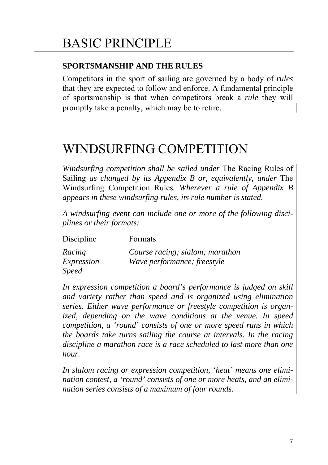#### **SPORTSMANSHIP AND THE RULES**

Competitors in the sport of sailing are governed by a body of *rules* that they are expected to follow and enforce. A fundamental principle of sportsmanship is that when competitors break a *rule* they will promptly take a penalty, which may be to retire.

### WINDSURFING COMPETITION

*Windsurfing competition shall be sailed under* The Racing Rules of Sailing *as changed by its Appendix B or, equivalently, under* The Windsurfing Competition Rules*. Wherever a rule of Appendix B appears in these windsurfing rules, its rule number is stated.* 

*A windsurfing event can include one or more of the following disciplines or their formats:* 

| Discipline   | Formats                         |
|--------------|---------------------------------|
| Racing       | Course racing; slalom; marathon |
| Expression   | Wave performance; freestyle     |
| <i>Speed</i> |                                 |

*In expression competition a board's performance is judged on skill and variety rather than speed and is organized using elimination series. Either wave performance or freestyle competition is organized, depending on the wave conditions at the venue. In speed competition, a 'round' consists of one or more speed runs in which the boards take turns sailing the course at intervals. In the racing discipline a marathon race is a race scheduled to last more than one hour.* 

*In slalom racing or expression competition, 'heat' means one elimination contest, a 'round' consists of one or more heats, and an elimination series consists of a maximum of four rounds.*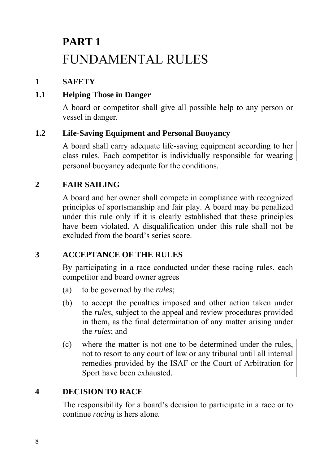## **PART 1**  FUNDAMENTAL RULES

#### **1 SAFETY**

#### **1.1 Helping Those in Danger**

A board or competitor shall give all possible help to any person or vessel in danger.

#### **1.2 Life-Saving Equipment and Personal Buoyancy**

A board shall carry adequate life-saving equipment according to her class rules. Each competitor is individually responsible for wearing personal buoyancy adequate for the conditions.

#### **2 FAIR SAILING**

A board and her owner shall compete in compliance with recognized principles of sportsmanship and fair play. A board may be penalized under this rule only if it is clearly established that these principles have been violated. A disqualification under this rule shall not be excluded from the board's series score.

#### **3 ACCEPTANCE OF THE RULES**

By participating in a race conducted under these racing rules, each competitor and board owner agrees

- (a) to be governed by the *rules*;
- (b) to accept the penalties imposed and other action taken under the *rules*, subject to the appeal and review procedures provided in them, as the final determination of any matter arising under the *rules*; and
- (c) where the matter is not one to be determined under the rules, not to resort to any court of law or any tribunal until all internal remedies provided by the ISAF or the Court of Arbitration for Sport have been exhausted.

#### **4 DECISION TO RACE**

The responsibility for a board's decision to participate in a race or to continue *racing* is hers alone*.*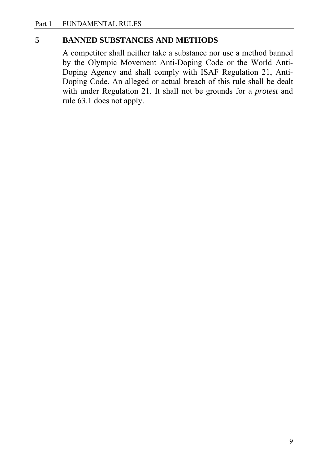#### **5 BANNED SUBSTANCES AND METHODS**

A competitor shall neither take a substance nor use a method banned by the Olympic Movement Anti-Doping Code or the World Anti-Doping Agency and shall comply with ISAF Regulation 21, Anti-Doping Code. An alleged or actual breach of this rule shall be dealt with under Regulation 21. It shall not be grounds for a *protest* and rule 63.1 does not apply.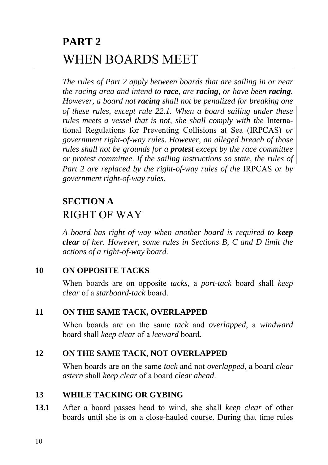### **PART 2**  WHEN BOARDS MEET

*The rules of Part 2 apply between boards that are sailing in or near the racing area and intend to race, are racing, or have been racing. However, a board not racing shall not be penalized for breaking one of these rules, except rule 22.1. When a board sailing under these rules meets a vessel that is not, she shall comply with the Interna*tional Regulations for Preventing Collisions at Sea (IRPCAS) *or government right-of-way rules. However, an alleged breach of those rules shall not be grounds for a protest except by the race committee or protest committee*. *If the sailing instructions so state, the rules of Part 2 are replaced by the right-of-way rules of the IRPCAS or by government right-of-way rules.*

### **SECTION A**  RIGHT OF WAY

*A board has right of way when another board is required to keep clear of her. However, some rules in Sections B, C and D limit the actions of a right-of-way board.*

#### **10 ON OPPOSITE TACKS**

When boards are on opposite *tacks*, a *port-tack* board shall *keep clear* of a *starboard-tack* board.

#### **11 ON THE SAME TACK, OVERLAPPED**

When boards are on the same *tack* and *overlapped*, a *windward* board shall *keep clear* of a *leeward* board.

#### **12 ON THE SAME TACK, NOT OVERLAPPED**

When boards are on the same *tack* and not *overlapped*, a board *clear astern* shall *keep clear* of a board *clear ahead*.

#### **13 WHILE TACKING OR GYBING**

**13.1** After a board passes head to wind, she shall *keep clear* of other boards until she is on a close-hauled course. During that time rules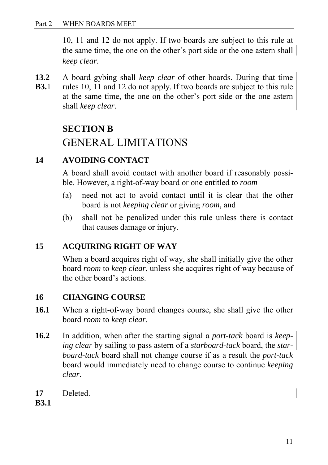10, 11 and 12 do not apply. If two boards are subject to this rule at the same time, the one on the other's port side or the one astern shall *keep clear*.

- **13.2** A board gybing shall *keep clear* of other boards. During that time
- **B3.**1 rules 10, 11 and 12 do not apply. If two boards are subject to this rule at the same time, the one on the other's port side or the one astern shall *keep clear*.

#### **SECTION B**

### GENERAL LIMITATIONS

#### **14 AVOIDING CONTACT**

A board shall avoid contact with another board if reasonably possible. However, a right-of-way board or one entitled to *room*

- (a) need not act to avoid contact until it is clear that the other board is not *keeping clear* or giving *room*, and
- (b) shall not be penalized under this rule unless there is contact that causes damage or injury.

#### **15 ACQUIRING RIGHT OF WAY**

When a board acquires right of way, she shall initially give the other board *room* to *keep clear*, unless she acquires right of way because of the other board's actions.

#### **16 CHANGING COURSE**

- **16.1** When a right-of-way board changes course, she shall give the other board *room* to *keep clear*.
- **16.2** In addition, when after the starting signal a *port-tack* board is *keeping clear* by sailing to pass astern of a *starboard-tack* board, the *star board-tack* board shall not change course if as a result the *port-tack* board would immediately need to change course to continue *keeping clear*.
- **17** Deleted.

**B3.1**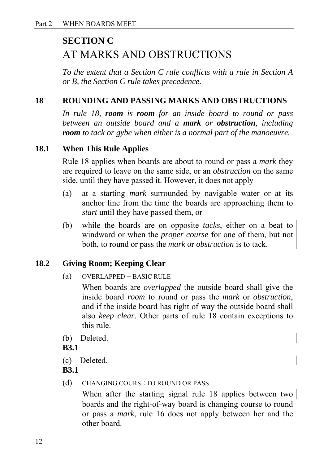### **SECTION C**  AT MARKS AND OBSTRUCTIONS

*To the extent that a Section C rule conflicts with a rule in Section A or B, the Section C rule takes precedence.* 

#### **18 ROUNDING AND PASSING MARKS AND OBSTRUCTIONS**

*In rule 18, room is room for an inside board to round or pass between an outside board and a mark or obstruction, including room to tack or gybe when either is a normal part of the manoeuvre.* 

#### **18.1 When This Rule Applies**

Rule 18 applies when boards are about to round or pass a *mark* they are required to leave on the same side, or an *obstruction* on the same side, until they have passed it. However, it does not apply

- (a) at a starting *mark* surrounded by navigable water or at its anchor line from the time the boards are approaching them to *start* until they have passed them, or
- (b) while the boards are on opposite *tacks*, either on a beat to windward or when the *proper course* for one of them, but not both, to round or pass the *mark* or *obstruction* is to tack.

#### **18.2 Giving Room; Keeping Clear**

(a) OVERLAPPED – BASIC RULE

When boards are *overlapped* the outside board shall give the inside board *room* to round or pass the *mark* or *obstruction*, and if the inside board has right of way the outside board shall also *keep clear*. Other parts of rule 18 contain exceptions to this rule.

(b) Deleted.

**B3.1** 

(c) Deleted.

**B3.1** 

(d) CHANGING COURSE TO ROUND OR PASS

When after the starting signal rule 18 applies between two boards and the right-of-way board is changing course to round or pass a *mark*, rule 16 does not apply between her and the other board.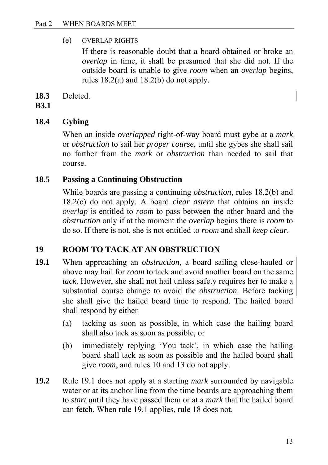(e) OVERLAP RIGHTS

If there is reasonable doubt that a board obtained or broke an *overlap* in time, it shall be presumed that she did not. If the outside board is unable to give *room* when an *overlap* begins, rules 18.2(a) and 18.2(b) do not apply.

**18.3** Deleted.

#### **B3.1**

#### **18.4 Gybing**

When an inside *overlapped* right-of-way board must gybe at a *mark*  or *obstruction* to sail her *proper course*, until she gybes she shall sail no farther from the *mark* or *obstruction* than needed to sail that course.

#### **18.5 Passing a Continuing Obstruction**

While boards are passing a continuing *obstruction*, rules 18.2(b) and 18.2(c) do not apply. A board *clear astern* that obtains an inside *overlap* is entitled to *room* to pass between the other board and the *obstruction* only if at the moment the *overlap* begins there is *room* to do so. If there is not, she is not entitled to *room* and shall *keep clear*.

#### **19 ROOM TO TACK AT AN OBSTRUCTION**

- **19.1** When approaching an *obstruction*, a board sailing close-hauled or above may hail for *room* to tack and avoid another board on the same *tack*. However, she shall not hail unless safety requires her to make a substantial course change to avoid the *obstruction*. Before tacking she shall give the hailed board time to respond. The hailed board shall respond by either
	- (a) tacking as soon as possible, in which case the hailing board shall also tack as soon as possible, or
	- (b) immediately replying 'You tack', in which case the hailing board shall tack as soon as possible and the hailed board shall give *room*, and rules 10 and 13 do not apply.
- **19.2** Rule 19.1 does not apply at a starting *mark* surrounded by navigable water or at its anchor line from the time boards are approaching them to *start* until they have passed them or at a *mark* that the hailed board can fetch. When rule 19.1 applies, rule 18 does not.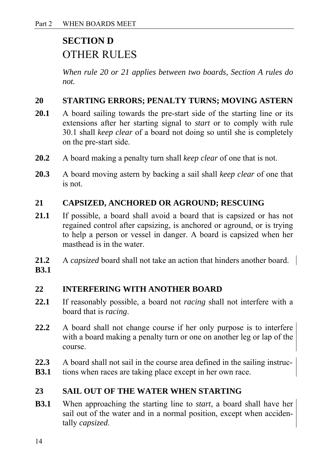### **SECTION D**  OTHER RULES

*When rule 20 or 21 applies between two boards, Section A rules do not.*

#### **20 STARTING ERRORS; PENALTY TURNS; MOVING ASTERN**

- **20.1** A board sailing towards the pre-start side of the starting line or its extensions after her starting signal to *start* or to comply with rule 30.1 shall *keep clear* of a board not doing so until she is completely on the pre-start side.
- **20.2** A board making a penalty turn shall *keep clear* of one that is not.
- **20.3** A board moving astern by backing a sail shall *keep clear* of one that is not.

#### **21 CAPSIZED, ANCHORED OR AGROUND; RESCUING**

- **21.1** If possible, a board shall avoid a board that is capsized or has not regained control after capsizing, is anchored or aground, or is trying to help a person or vessel in danger. A board is capsized when her masthead is in the water.
- **21.2** A *capsized* board shall not take an action that hinders another board. **B3.1**

#### **22 INTERFERING WITH ANOTHER BOARD**

- **22.1** If reasonably possible, a board not *racing* shall not interfere with a board that is *racing*.
- **22.2** A board shall not change course if her only purpose is to interfere with a board making a penalty turn or one on another leg or lap of the course.
- **22.3** A board shall not sail in the course area defined in the sailing instruc-
- **B3.1** tions when races are taking place except in her own race.

#### **23 SAIL OUT OF THE WATER WHEN STARTING**

**B3.1** When approaching the starting line to *start*, a board shall have her sail out of the water and in a normal position, except when accidentally *capsized*.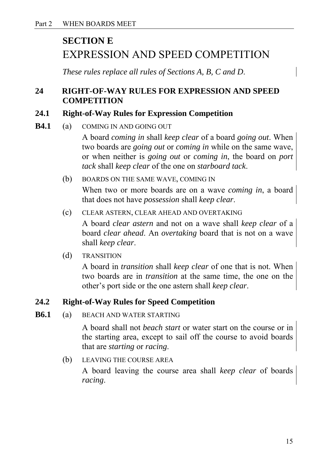### **SECTION E**  EXPRESSION AND SPEED COMPETITION

 *These rules replace all rules of Sections A, B, C and D*.

#### **24 RIGHT-OF-WAY RULES FOR EXPRESSION AND SPEED COMPETITION**

#### **24.1 Right-of-Way Rules for Expression Competition**

**B4.1** (a) COMING IN AND GOING OUT

A board *coming in* shall *keep clear* of a board *going out*. When two boards are *going out* or *coming in* while on the same wave, or when neither is *going out* or *coming in*, the board on *port tack* shall *keep clear* of the one on *starboard tack*.

- (b) BOARDS ON THE SAME WAVE, COMING IN When two or more boards are on a wave *coming in*, a board that does not have *possession* shall *keep clear*.
- (c) CLEAR ASTERN, CLEAR AHEAD AND OVERTAKING

A board *clear astern* and not on a wave shall *keep clear* of a board *clear ahead*. An *overtaking* board that is not on a wave shall *keep clear*.

(d) TRANSITION

A board in *transition* shall *keep clear* of one that is not. When two boards are in *transition* at the same time, the one on the other's port side or the one astern shall *keep clear*.

#### **24.2 Right-of-Way Rules for Speed Competition**

**B6.1** (a) BEACH AND WATER STARTING

A board shall not *beach start* or water start on the course or in the starting area, except to sail off the course to avoid boards that are *starting* or *racing*.

(b) LEAVING THE COURSE AREA

A board leaving the course area shall *keep clear* of boards *racing*.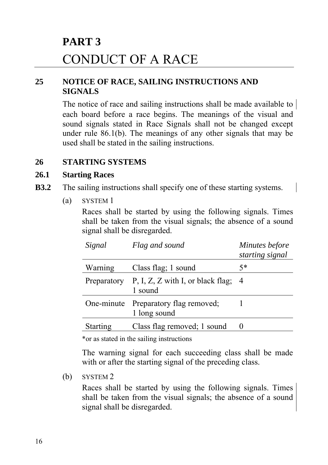### **PART 3**  CONDUCT OF A RACE

#### **25 NOTICE OF RACE, SAILING INSTRUCTIONS AND SIGNALS**

The notice of race and sailing instructions shall be made available to each board before a race begins. The meanings of the visual and sound signals stated in Race Signals shall not be changed except under rule 86.1(b). The meanings of any other signals that may be used shall be stated in the sailing instructions.

#### **26 STARTING SYSTEMS**

#### **26.1 Starting Races**

- **B3.2** The sailing instructions shall specify one of these starting systems.
	- (a) SYSTEM 1

Races shall be started by using the following signals. Times shall be taken from the visual signals; the absence of a sound signal shall be disregarded.

| Signal          | Flag and sound                                               | Minutes before<br>starting signal |
|-----------------|--------------------------------------------------------------|-----------------------------------|
| Warning         | Class flag; 1 sound                                          | $5*$                              |
|                 | Preparatory P, I, Z, Z with I, or black flag; $4$<br>1 sound |                                   |
| One-minute      | Preparatory flag removed;<br>1 long sound                    |                                   |
| <b>Starting</b> | Class flag removed; 1 sound                                  |                                   |

\*or as stated in the sailing instructions

The warning signal for each succeeding class shall be made with or after the starting signal of the preceding class.

(b) SYSTEM 2

Races shall be started by using the following signals. Times shall be taken from the visual signals; the absence of a sound signal shall be disregarded.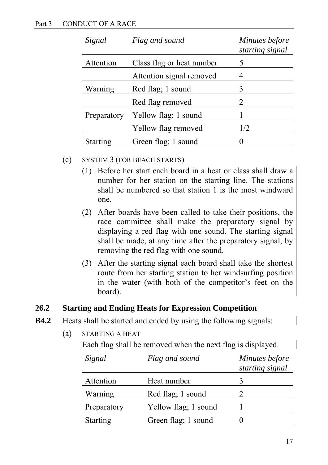| Signal                                 | Flag and sound           | Minutes before<br>starting signal |
|----------------------------------------|--------------------------|-----------------------------------|
| Attention<br>Class flag or heat number |                          | 5                                 |
|                                        | Attention signal removed | 4                                 |
| Warning                                | Red flag; 1 sound        | 3                                 |
|                                        | Red flag removed         | 2                                 |
| Preparatory                            | Yellow flag; 1 sound     |                                   |
|                                        | Yellow flag removed      | 1/2                               |
| <b>Starting</b>                        | Green flag; 1 sound      |                                   |

#### (c) SYSTEM 3 (FOR BEACH STARTS)

- (1) Before her start each board in a heat or class shall draw a number for her station on the starting line. The stations shall be numbered so that station 1 is the most windward one.
- (2) After boards have been called to take their positions, the race committee shall make the preparatory signal by displaying a red flag with one sound. The starting signal shall be made, at any time after the preparatory signal, by removing the red flag with one sound.
- (3) After the starting signal each board shall take the shortest route from her starting station to her windsurfing position in the water (with both of the competitor's feet on the board).

#### **26.2 Starting and Ending Heats for Expression Competition**

- **B4.2** Heats shall be started and ended by using the following signals:
	- (a) STARTING A HEAT

Each flag shall be removed when the next flag is displayed.

| Signal          | Flag and sound       | Minutes before<br>starting signal |
|-----------------|----------------------|-----------------------------------|
| Attention       | Heat number          |                                   |
| Warning         | Red flag; 1 sound    |                                   |
| Preparatory     | Yellow flag; 1 sound |                                   |
| <b>Starting</b> | Green flag; 1 sound  |                                   |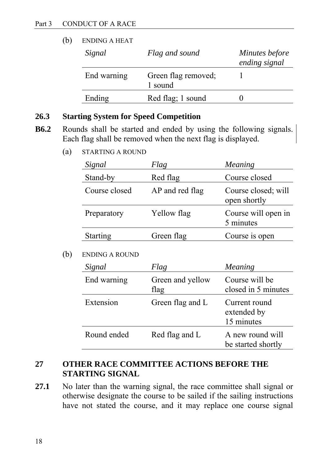| (b) | <b>ENDING A HEAT</b> |                                |                                 |  |
|-----|----------------------|--------------------------------|---------------------------------|--|
|     | Signal               | Flag and sound                 | Minutes before<br>ending signal |  |
|     | End warning          | Green flag removed;<br>1 sound |                                 |  |
|     | Ending               | Red flag; 1 sound              |                                 |  |

#### **26.3 Starting System for Speed Competition**

- **B6.2** Rounds shall be started and ended by using the following signals. Each flag shall be removed when the next flag is displayed.
	- (a) STARTING A ROUND

| Signal          | Flag            | Meaning                             |
|-----------------|-----------------|-------------------------------------|
| Stand-by        | Red flag        | Course closed                       |
| Course closed   | AP and red flag | Course closed; will<br>open shortly |
| Preparatory     | Yellow flag     | Course will open in<br>5 minutes    |
| <b>Starting</b> | Green flag      | Course is open                      |

#### (b) ENDING A ROUND

| Signal      | Flag                     | Meaning                                    |
|-------------|--------------------------|--------------------------------------------|
| End warning | Green and yellow<br>flag | Course will be<br>closed in 5 minutes      |
| Extension   | Green flag and L         | Current round<br>extended by<br>15 minutes |
| Round ended | Red flag and L           | A new round will<br>be started shortly     |

#### **27 OTHER RACE COMMITTEE ACTIONS BEFORE THE STARTING SIGNAL**

**27.1** No later than the warning signal, the race committee shall signal or otherwise designate the course to be sailed if the sailing instructions have not stated the course, and it may replace one course signal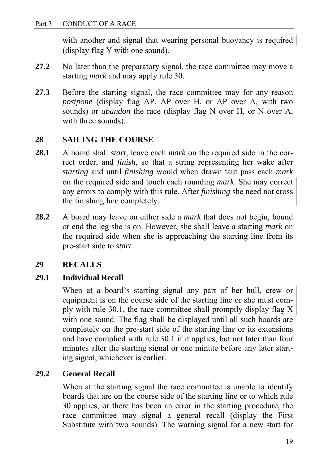with another and signal that wearing personal buoyancy is required (display flag Y with one sound).

- **27.2** No later than the preparatory signal, the race committee may move a starting *mark* and may apply rule 30.
- **27.3** Before the starting signal, the race committee may for any reason *postpone* (display flag AP, AP over H, or AP over A, with two sounds) or *abandon* the race (display flag N over H, or N over A, with three sounds).

#### **28 SAILING THE COURSE**

- **28.1** A board shall *start*, leave each *mark* on the required side in the correct order, and *finish*, so that a string representing her wake after *starting* and until *finishing* would when drawn taut pass each *mark*  on the required side and touch each rounding *mark*. She may correct any errors to comply with this rule. After *finishing* she need not cross the finishing line completely.
- **28.2** A board may leave on either side a *mark* that does not begin, bound or end the leg she is on. However, she shall leave a starting *mark* on the required side when she is approaching the starting line from its pre-start side to *start*.

#### **29 RECALLS**

#### **29.1 Individual Recall**

When at a board's starting signal any part of her hull, crew or equipment is on the course side of the starting line or she must comply with rule 30.1, the race committee shall promptly display flag X with one sound. The flag shall be displayed until all such boards are completely on the pre-start side of the starting line or its extensions and have complied with rule 30.1 if it applies, but not later than four minutes after the starting signal or one minute before any later starting signal, whichever is earlier.

#### **29.2 General Recall**

When at the starting signal the race committee is unable to identify boards that are on the course side of the starting line or to which rule 30 applies, or there has been an error in the starting procedure, the race committee may signal a general recall (display the First Substitute with two sounds). The warning signal for a new start for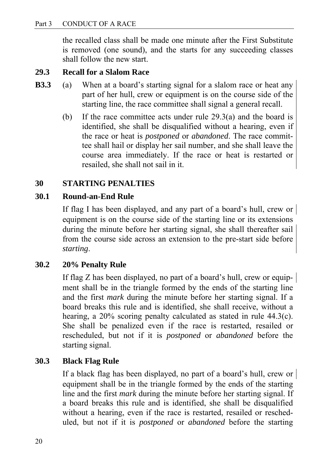the recalled class shall be made one minute after the First Substitute is removed (one sound), and the starts for any succeeding classes shall follow the new start.

#### **29.3 Recall for a Slalom Race**

- **B3.3** (a) When at a board's starting signal for a slalom race or heat any part of her hull, crew or equipment is on the course side of the starting line, the race committee shall signal a general recall.
	- (b) If the race committee acts under rule 29.3(a) and the board is identified, she shall be disqualified without a hearing, even if the race or heat is *postponed* or *abandoned*. The race committee shall hail or display her sail number, and she shall leave the course area immediately. If the race or heat is restarted or resailed, she shall not sail in it.

#### **30 STARTING PENALTIES**

#### **30.1 Round-an-End Rule**

If flag I has been displayed, and any part of a board's hull, crew or equipment is on the course side of the starting line or its extensions during the minute before her starting signal, she shall thereafter sail from the course side across an extension to the pre-start side before *starting*.

#### **30.2 20% Penalty Rule**

If flag Z has been displayed, no part of a board's hull, crew or equipment shall be in the triangle formed by the ends of the starting line and the first *mark* during the minute before her starting signal. If a board breaks this rule and is identified, she shall receive, without a hearing, a 20% scoring penalty calculated as stated in rule 44.3(c). She shall be penalized even if the race is restarted, resailed or rescheduled, but not if it is *postponed* or *abandoned* before the starting signal.

#### **30.3 Black Flag Rule**

If a black flag has been displayed, no part of a board's hull, crew or equipment shall be in the triangle formed by the ends of the starting line and the first *mark* during the minute before her starting signal. If a board breaks this rule and is identified, she shall be disqualified without a hearing, even if the race is restarted, resailed or rescheduled, but not if it is *postponed* or *abandoned* before the starting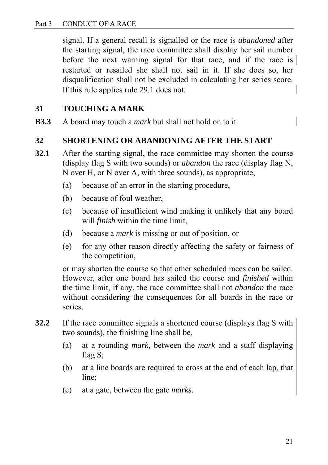signal. If a general recall is signalled or the race is *abandoned* after the starting signal, the race committee shall display her sail number before the next warning signal for that race, and if the race is restarted or resailed she shall not sail in it. If she does so, her disqualification shall not be excluded in calculating her series score. If this rule applies rule 29.1 does not.

#### **31 TOUCHING A MARK**

**B3.3** A board may touch a *mark* but shall not hold on to it.

#### **32 SHORTENING OR ABANDONING AFTER THE START**

- **32.1** After the starting signal, the race committee may shorten the course (display flag S with two sounds) or *abandon* the race (display flag N, N over H, or N over A, with three sounds), as appropriate,
	- (a) because of an error in the starting procedure,
	- (b) because of foul weather,
	- (c) because of insufficient wind making it unlikely that any board will *finish* within the time limit,
	- (d) because a *mark* is missing or out of position, or
	- (e) for any other reason directly affecting the safety or fairness of the competition,

or may shorten the course so that other scheduled races can be sailed. However, after one board has sailed the course and *finished* within the time limit, if any, the race committee shall not *abandon* the race without considering the consequences for all boards in the race or series.

- **32.2** If the race committee signals a shortened course (displays flag S with two sounds), the finishing line shall be,
	- (a) at a rounding *mark*, between the *mark* and a staff displaying flag S;
	- (b) at a line boards are required to cross at the end of each lap, that line;
	- (c) at a gate, between the gate *marks*.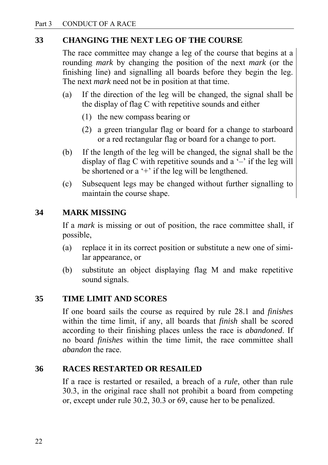#### **33 CHANGING THE NEXT LEG OF THE COURSE**

The race committee may change a leg of the course that begins at a rounding *mark* by changing the position of the next *mark* (or the finishing line) and signalling all boards before they begin the leg. The next *mark* need not be in position at that time.

- (a) If the direction of the leg will be changed, the signal shall be the display of flag C with repetitive sounds and either
	- (1) the new compass bearing or
	- (2) a green triangular flag or board for a change to starboard or a red rectangular flag or board for a change to port.
- (b) If the length of the leg will be changed, the signal shall be the display of flag C with repetitive sounds and a  $-$  if the leg will be shortened or a  $+$  if the leg will be lengthened.
- (c) Subsequent legs may be changed without further signalling to maintain the course shape.

#### **34 MARK MISSING**

If a *mark* is missing or out of position, the race committee shall, if possible,

- (a) replace it in its correct position or substitute a new one of similar appearance, or
- (b) substitute an object displaying flag M and make repetitive sound signals.

#### **35 TIME LIMIT AND SCORES**

If one board sails the course as required by rule 28.1 and *finishes* within the time limit, if any, all boards that *finish* shall be scored according to their finishing places unless the race is *abandoned*. If no board *finishes* within the time limit, the race committee shall *abandon* the race.

#### **36 RACES RESTARTED OR RESAILED**

If a race is restarted or resailed, a breach of a *rule*, other than rule 30.3, in the original race shall not prohibit a board from competing or, except under rule 30.2, 30.3 or 69, cause her to be penalized.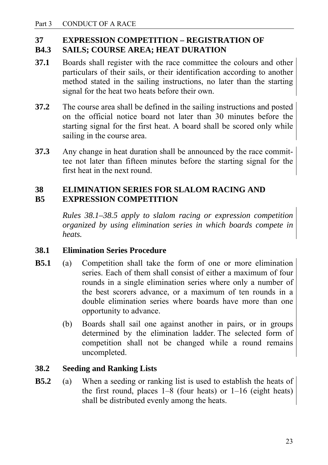### **37 EXPRESSION COMPETITION – REGISTRATION OF**

#### **B4.3 SAILS; COURSE AREA; HEAT DURATION**

- **37.1** Boards shall register with the race committee the colours and other particulars of their sails, or their identification according to another method stated in the sailing instructions, no later than the starting signal for the heat two heats before their own.
- **37.2** The course area shall be defined in the sailing instructions and posted on the official notice board not later than 30 minutes before the starting signal for the first heat. A board shall be scored only while sailing in the course area.
- **37.3** Any change in heat duration shall be announced by the race committee not later than fifteen minutes before the starting signal for the first heat in the next round.

#### **38 ELIMINATION SERIES FOR SLALOM RACING AND B5 EXPRESSION COMPETITION**

*Rules 38.1–38.5 apply to slalom racing or expression competition organized by using elimination series in which boards compete in heats.* 

#### **38.1 Elimination Series Procedure**

- **B5.1** (a) Competition shall take the form of one or more elimination series. Each of them shall consist of either a maximum of four rounds in a single elimination series where only a number of the best scorers advance, or a maximum of ten rounds in a double elimination series where boards have more than one opportunity to advance.
	- (b) Boards shall sail one against another in pairs, or in groups determined by the elimination ladder. The selected form of competition shall not be changed while a round remains uncompleted.

#### **38.2 Seeding and Ranking Lists**

**B5.2** (a) When a seeding or ranking list is used to establish the heats of the first round, places  $1-8$  (four heats) or  $1-16$  (eight heats) shall be distributed evenly among the heats.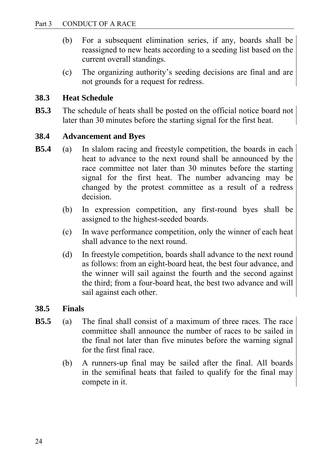- (b) For a subsequent elimination series, if any, boards shall be reassigned to new heats according to a seeding list based on the current overall standings.
- (c) The organizing authority's seeding decisions are final and are not grounds for a request for redress.

#### **38.3 Heat Schedule**

**B5.3** The schedule of heats shall be posted on the official notice board not later than 30 minutes before the starting signal for the first heat.

#### **38.4 Advancement and Byes**

- **B5.4** (a) In slalom racing and freestyle competition, the boards in each heat to advance to the next round shall be announced by the race committee not later than 30 minutes before the starting signal for the first heat. The number advancing may be changed by the protest committee as a result of a redress decision.
	- (b) In expression competition, any first-round byes shall be assigned to the highest-seeded boards.
	- (c) In wave performance competition, only the winner of each heat shall advance to the next round.
	- (d) In freestyle competition, boards shall advance to the next round as follows: from an eight-board heat, the best four advance, and the winner will sail against the fourth and the second against the third; from a four-board heat, the best two advance and will sail against each other.

#### **38.5 Finals**

- **B5.5** (a) The final shall consist of a maximum of three races. The race committee shall announce the number of races to be sailed in the final not later than five minutes before the warning signal for the first final race.
	- (b) A runners-up final may be sailed after the final. All boards in the semifinal heats that failed to qualify for the final may compete in it.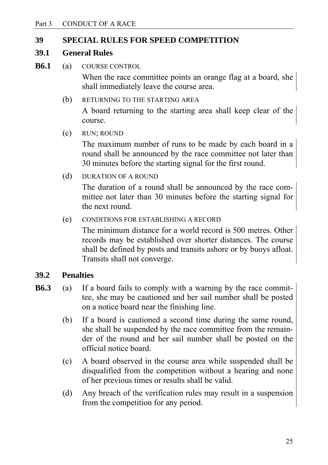#### **39 SPECIAL RULES FOR SPEED COMPETITION**

#### **39.1 General Rules**

**B6.1** (a) COURSE CONTROL

 When the race committee points an orange flag at a board, she shall immediately leave the course area.

- (b) RETURNING TO THE STARTING AREA A board returning to the starting area shall keep clear of the course.
- (c) RUN; ROUND

 The maximum number of runs to be made by each board in a round shall be announced by the race committee not later than 30 minutes before the starting signal for the first round.

(d) DURATION OF A ROUND

 The duration of a round shall be announced by the race committee not later than 30 minutes before the starting signal for the next round.

(e) CONDITIONS FOR ESTABLISHING A RECORD

 The minimum distance for a world record is 500 metres. Other records may be established over shorter distances. The course shall be defined by posts and transits ashore or by buoys afloat. Transits shall not converge.

#### **39.2 Penalties**

- **B6.3** (a) If a board fails to comply with a warning by the race committee, she may be cautioned and her sail number shall be posted on a notice board near the finishing line.
	- (b) If a board is cautioned a second time during the same round, she shall be suspended by the race committee from the remainder of the round and her sail number shall be posted on the official notice board.
	- (c) A board observed in the course area while suspended shall be disqualified from the competition without a hearing and none of her previous times or results shall be valid.
	- (d) Any breach of the verification rules may result in a suspension from the competition for any period.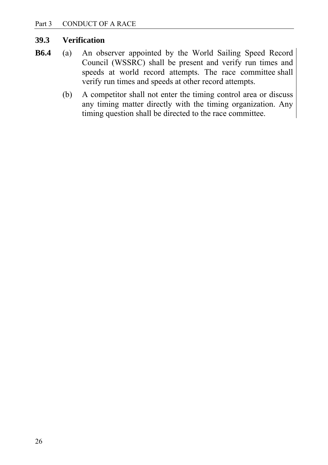#### **39.3 Verification**

- **B6.4** (a) An observer appointed by the World Sailing Speed Record Council (WSSRC) shall be present and verify run times and speeds at world record attempts. The race committee shall verify run times and speeds at other record attempts.
	- (b) A competitor shall not enter the timing control area or discuss any timing matter directly with the timing organization. Any timing question shall be directed to the race committee.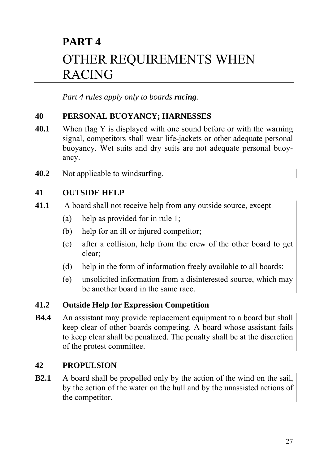### **PART 4**  OTHER REQUIREMENTS WHEN RACING

*Part 4 rules apply only to boards racing.*

#### **40 PERSONAL BUOYANCY; HARNESSES**

- **40.1** When flag Y is displayed with one sound before or with the warning signal, competitors shall wear life-jackets or other adequate personal buoyancy. Wet suits and dry suits are not adequate personal buoyancy.
- **40.2** Not applicable to windsurfing.

#### **41 OUTSIDE HELP**

- **41.1** A board shall not receive help from any outside source, except
	- (a) help as provided for in rule 1;
	- (b) help for an ill or injured competitor;
	- (c) after a collision, help from the crew of the other board to get clear;
	- (d) help in the form of information freely available to all boards;
	- (e) unsolicited information from a disinterested source, which may be another board in the same race.

#### **41.2 Outside Help for Expression Competition**

**B4.4** An assistant may provide replacement equipment to a board but shall keep clear of other boards competing. A board whose assistant fails to keep clear shall be penalized. The penalty shall be at the discretion of the protest committee.

#### **42 PROPULSION**

**B2.1** A board shall be propelled only by the action of the wind on the sail, by the action of the water on the hull and by the unassisted actions of the competitor.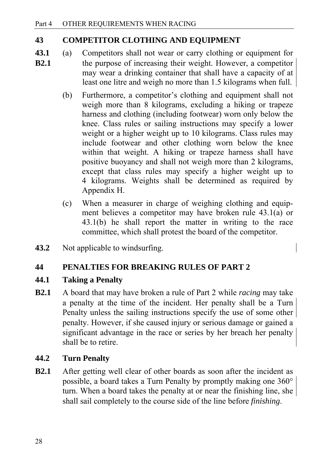#### **43 COMPETITOR CLOTHING AND EQUIPMENT**

- **43.1** (a) Competitors shall not wear or carry clothing or equipment for **B2.1** the purpose of increasing their weight. However, a competitor may wear a drinking container that shall have a capacity of at least one litre and weigh no more than 1.5 kilograms when full.
	- (b) Furthermore, a competitor's clothing and equipment shall not weigh more than 8 kilograms, excluding a hiking or trapeze harness and clothing (including footwear) worn only below the knee. Class rules or sailing instructions may specify a lower weight or a higher weight up to 10 kilograms. Class rules may include footwear and other clothing worn below the knee within that weight. A hiking or trapeze harness shall have positive buoyancy and shall not weigh more than 2 kilograms, except that class rules may specify a higher weight up to 4 kilograms. Weights shall be determined as required by Appendix H.
	- (c) When a measurer in charge of weighing clothing and equipment believes a competitor may have broken rule 43.1(a) or 43.1(b) he shall report the matter in writing to the race committee, which shall protest the board of the competitor.
- **43.2** Not applicable to windsurfing.

#### **44 PENALTIES FOR BREAKING RULES OF PART 2**

#### **44.1 Taking a Penalty**

**B2.1** A board that may have broken a rule of Part 2 while *racing* may take a penalty at the time of the incident. Her penalty shall be a Turn Penalty unless the sailing instructions specify the use of some other penalty. However, if she caused injury or serious damage or gained a significant advantage in the race or series by her breach her penalty shall be to retire.

#### **44.2 Turn Penalty**

**B2.1** After getting well clear of other boards as soon after the incident as possible, a board takes a Turn Penalty by promptly making one 360° turn. When a board takes the penalty at or near the finishing line, she shall sail completely to the course side of the line before *finishing*.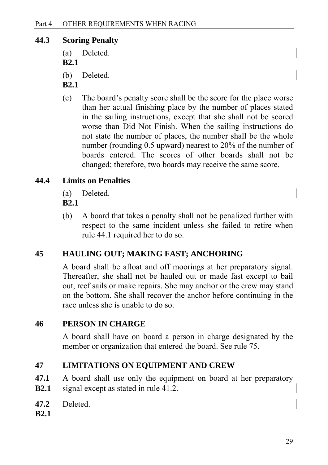#### **44.3 Scoring Penalty**

- (a) Deleted.
- **B2.1**
- (b) Deleted.
- **B2.1**
- (c) The board's penalty score shall be the score for the place worse than her actual finishing place by the number of places stated in the sailing instructions, except that she shall not be scored worse than Did Not Finish. When the sailing instructions do not state the number of places, the number shall be the whole number (rounding 0.5 upward) nearest to 20% of the number of boards entered. The scores of other boards shall not be changed; therefore, two boards may receive the same score.

#### **44.4 Limits on Penalties**

- (a) Deleted.
- **B2.1**
- (b) A board that takes a penalty shall not be penalized further with respect to the same incident unless she failed to retire when rule 44.1 required her to do so.

#### **45 HAULING OUT; MAKING FAST; ANCHORING**

A board shall be afloat and off moorings at her preparatory signal. Thereafter, she shall not be hauled out or made fast except to bail out, reef sails or make repairs. She may anchor or the crew may stand on the bottom. She shall recover the anchor before continuing in the race unless she is unable to do so.

#### **46 PERSON IN CHARGE**

A board shall have on board a person in charge designated by the member or organization that entered the board. See rule 75.

#### **47 LIMITATIONS ON EQUIPMENT AND CREW**

- **47.1** A board shall use only the equipment on board at her preparatory **B2.1** signal except as stated in rule 41.2.
- **47.2** Deleted.
- **B2.1**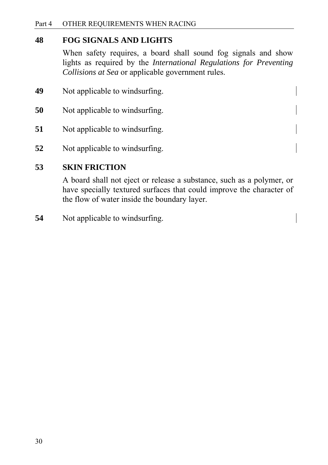#### **48 FOG SIGNALS AND LIGHTS**

When safety requires, a board shall sound fog signals and show lights as required by the *International Regulations for Preventing Collisions at Sea* or applicable government rules.

- **49** Not applicable to windsurfing.
- **50** Not applicable to windsurfing.
- **51** Not applicable to windsurfing.
- **52** Not applicable to windsurfing.

#### **53 SKIN FRICTION**

A board shall not eject or release a substance, such as a polymer, or have specially textured surfaces that could improve the character of the flow of water inside the boundary layer.

**54** • Not applicable to windsurfing.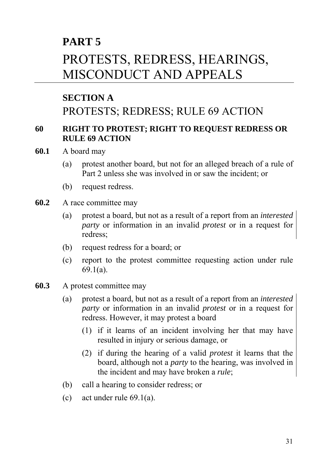### **PART 5**

## PROTESTS, REDRESS, HEARINGS, MISCONDUCT AND APPEALS

#### **SECTION A**

### PROTESTS; REDRESS; RULE 69 ACTION

#### **60 RIGHT TO PROTEST; RIGHT TO REQUEST REDRESS OR RULE 69 ACTION**

- **60.1** A board may
	- (a) protest another board, but not for an alleged breach of a rule of Part 2 unless she was involved in or saw the incident; or
	- (b) request redress.
- **60.2** A race committee may
	- (a) protest a board, but not as a result of a report from an *interested party* or information in an invalid *protest* or in a request for redress;
	- (b) request redress for a board; or
	- (c) report to the protest committee requesting action under rule 69.1(a).
- **60.3** A protest committee may
	- (a) protest a board, but not as a result of a report from an *interested party* or information in an invalid *protest* or in a request for redress. However, it may protest a board
		- (1) if it learns of an incident involving her that may have resulted in injury or serious damage, or
		- (2) if during the hearing of a valid *protest* it learns that the board, although not a *party* to the hearing, was involved in the incident and may have broken a *rule*;
	- (b) call a hearing to consider redress; or
	- (c) act under rule 69.1(a).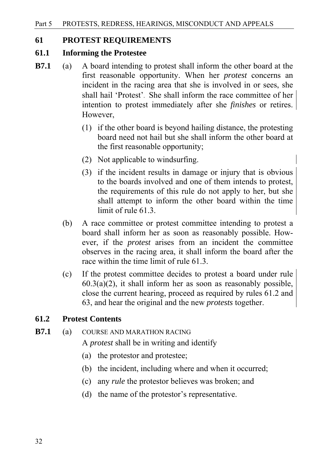#### **61 PROTEST REQUIREMENTS**

#### **61.1 Informing the Protestee**

- **B7.1** (a) A board intending to protest shall inform the other board at the first reasonable opportunity. When her *protest* concerns an incident in the racing area that she is involved in or sees, she shall hail 'Protest'. She shall inform the race committee of her intention to protest immediately after she *finishes* or retires. However,
	- (1) if the other board is beyond hailing distance, the protesting board need not hail but she shall inform the other board at the first reasonable opportunity;
	- (2) Not applicable to windsurfing.
	- (3) if the incident results in damage or injury that is obvious to the boards involved and one of them intends to protest, the requirements of this rule do not apply to her, but she shall attempt to inform the other board within the time limit of rule 61.3.
	- (b) A race committee or protest committee intending to protest a board shall inform her as soon as reasonably possible. However, if the *protest* arises from an incident the committee observes in the racing area, it shall inform the board after the race within the time limit of rule 61.3.
	- (c) If the protest committee decides to protest a board under rule  $60.3(a)(2)$ , it shall inform her as soon as reasonably possible, close the current hearing, proceed as required by rules 61.2 and 63, and hear the original and the new *protests* together.

#### **61.2 Protest Contents**

### **B7.1** (a) COURSE AND MARATHON RACING

- A *protest* shall be in writing and identify
- (a) the protestor and protestee;
- (b) the incident, including where and when it occurred;
- (c) any *rule* the protestor believes was broken; and
- (d) the name of the protestor's representative.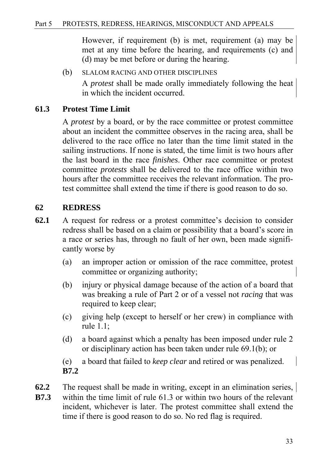However, if requirement (b) is met, requirement (a) may be met at any time before the hearing, and requirements (c) and (d) may be met before or during the hearing.

(b) SLALOM RACING AND OTHER DISCIPLINES A *protest* shall be made orally immediately following the heat in which the incident occurred.

#### **61.3 Protest Time Limit**

A *protest* by a board, or by the race committee or protest committee about an incident the committee observes in the racing area, shall be delivered to the race office no later than the time limit stated in the sailing instructions. If none is stated, the time limit is two hours after the last board in the race *finishes*. Other race committee or protest committee *protests* shall be delivered to the race office within two hours after the committee receives the relevant information. The protest committee shall extend the time if there is good reason to do so.

#### **62 REDRESS**

- **62.1** A request for redress or a protest committee's decision to consider redress shall be based on a claim or possibility that a board's score in a race or series has, through no fault of her own, been made significantly worse by
	- (a) an improper action or omission of the race committee, protest committee or organizing authority;
	- (b) injury or physical damage because of the action of a board that was breaking a rule of Part 2 or of a vessel not *racing* that was required to keep clear;
	- (c) giving help (except to herself or her crew) in compliance with rule 1.1;
	- (d) a board against which a penalty has been imposed under rule 2 or disciplinary action has been taken under rule 69.1(b); or

(e) a board that failed to *keep clear* and retired or was penalized. **B7.2** 

- **62.2** The request shall be made in writing, except in an elimination series,
- **B7.3** within the time limit of rule 61.3 or within two hours of the relevant incident, whichever is later. The protest committee shall extend the time if there is good reason to do so. No red flag is required.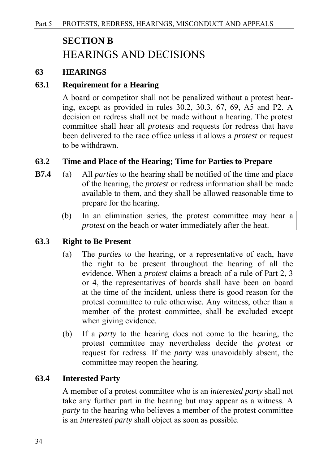## **SECTION B**  HEARINGS AND DECISIONS

#### **63 HEARINGS**

#### **63.1 Requirement for a Hearing**

A board or competitor shall not be penalized without a protest hearing, except as provided in rules 30.2, 30.3, 67, 69, A5 and P2. A decision on redress shall not be made without a hearing. The protest committee shall hear all *protests* and requests for redress that have been delivered to the race office unless it allows a *protest* or request to be withdrawn.

#### **63.2 Time and Place of the Hearing; Time for Parties to Prepare**

- **B7.4** (a) All *parties* to the hearing shall be notified of the time and place of the hearing, the *protest* or redress information shall be made available to them, and they shall be allowed reasonable time to prepare for the hearing.
	- (b)In an elimination series, the protest committee may hear a *protest* on the beach or water immediately after the heat.

#### **63.3 Right to Be Present**

- (a) The *parties* to the hearing, or a representative of each, have the right to be present throughout the hearing of all the evidence. When a *protest* claims a breach of a rule of Part 2, 3 or 4, the representatives of boards shall have been on board at the time of the incident, unless there is good reason for the protest committee to rule otherwise. Any witness, other than a member of the protest committee, shall be excluded except when giving evidence.
- (b) If a *party* to the hearing does not come to the hearing, the protest committee may nevertheless decide the *protest* or request for redress. If the *party* was unavoidably absent, the committee may reopen the hearing.

#### **63.4 Interested Party**

A member of a protest committee who is an *interested party* shall not take any further part in the hearing but may appear as a witness. A *party* to the hearing who believes a member of the protest committee is an *interested party* shall object as soon as possible.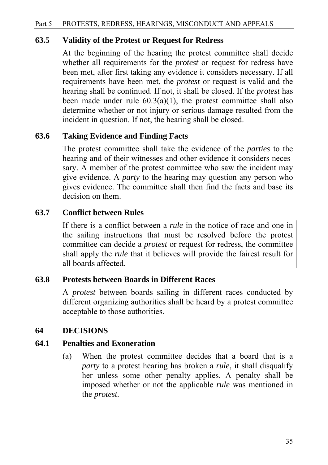#### **63.5 Validity of the Protest or Request for Redress**

At the beginning of the hearing the protest committee shall decide whether all requirements for the *protest* or request for redress have been met, after first taking any evidence it considers necessary. If all requirements have been met, the *protest* or request is valid and the hearing shall be continued. If not, it shall be closed. If the *protest* has been made under rule  $60.3(a)(1)$ , the protest committee shall also determine whether or not injury or serious damage resulted from the incident in question. If not, the hearing shall be closed.

#### **63.6 Taking Evidence and Finding Facts**

The protest committee shall take the evidence of the *parties* to the hearing and of their witnesses and other evidence it considers necessary. A member of the protest committee who saw the incident may give evidence. A *party* to the hearing may question any person who gives evidence. The committee shall then find the facts and base its decision on them.

## **63.7 Conflict between Rules**

 If there is a conflict between a *rule* in the notice of race and one in the sailing instructions that must be resolved before the protest committee can decide a *protest* or request for redress, the committee shall apply the *rule* that it believes will provide the fairest result for all boards affected.

#### **63.8 Protests between Boards in Different Races**

A *protest* between boards sailing in different races conducted by different organizing authorities shall be heard by a protest committee acceptable to those authorities.

#### **64 DECISIONS**

#### **64.1 Penalties and Exoneration**

(a) When the protest committee decides that a board that is a *party* to a protest hearing has broken a *rule*, it shall disqualify her unless some other penalty applies. A penalty shall be imposed whether or not the applicable *rule* was mentioned in the *protest*.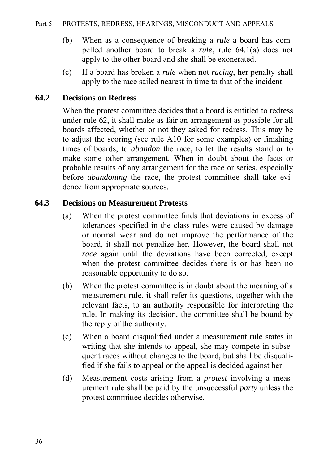- (b) When as a consequence of breaking a *rule* a board has compelled another board to break a *rule*, rule 64.1(a) does not apply to the other board and she shall be exonerated.
- (c) If a board has broken a *rule* when not *racing*, her penalty shall apply to the race sailed nearest in time to that of the incident.

#### **64.2 Decisions on Redress**

When the protest committee decides that a board is entitled to redress under rule 62, it shall make as fair an arrangement as possible for all boards affected, whether or not they asked for redress. This may be to adjust the scoring (see rule A10 for some examples) or finishing times of boards, to *abandon* the race, to let the results stand or to make some other arrangement. When in doubt about the facts or probable results of any arrangement for the race or series, especially before *abandoning* the race, the protest committee shall take evidence from appropriate sources.

#### **64.3 Decisions on Measurement Protests**

- (a) When the protest committee finds that deviations in excess of tolerances specified in the class rules were caused by damage or normal wear and do not improve the performance of the board, it shall not penalize her. However, the board shall not *race* again until the deviations have been corrected, except when the protest committee decides there is or has been no reasonable opportunity to do so.
- (b) When the protest committee is in doubt about the meaning of a measurement rule, it shall refer its questions, together with the relevant facts, to an authority responsible for interpreting the rule. In making its decision, the committee shall be bound by the reply of the authority.
- (c) When a board disqualified under a measurement rule states in writing that she intends to appeal, she may compete in subsequent races without changes to the board, but shall be disqualified if she fails to appeal or the appeal is decided against her.
- (d) Measurement costs arising from a *protest* involving a measurement rule shall be paid by the unsuccessful *party* unless the protest committee decides otherwise.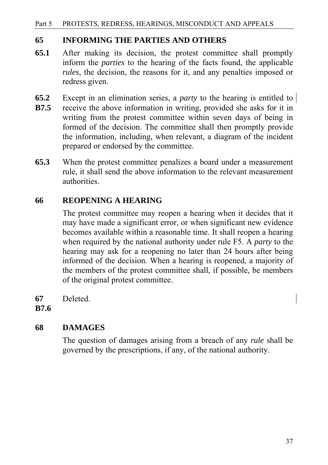#### **65 INFORMING THE PARTIES AND OTHERS**

- **65.1** After making its decision, the protest committee shall promptly inform the *parties* to the hearing of the facts found, the applicable *rules*, the decision, the reasons for it, and any penalties imposed or redress given.
- **65.2** Except in an elimination series, a *party* to the hearing is entitled to **B7.5** receive the above information in writing, provided she asks for it in writing from the protest committee within seven days of being in formed of the decision. The committee shall then promptly provide the information, including, when relevant, a diagram of the incident prepared or endorsed by the committee.
- **65.3** When the protest committee penalizes a board under a measurement rule, it shall send the above information to the relevant measurement authorities.

## **66 REOPENING A HEARING**

The protest committee may reopen a hearing when it decides that it may have made a significant error, or when significant new evidence becomes available within a reasonable time. It shall reopen a hearing when required by the national authority under rule F5. A *party* to the hearing may ask for a reopening no later than 24 hours after being informed of the decision. When a hearing is reopened, a majority of the members of the protest committee shall, if possible, be members of the original protest committee.

**67** Deleted.

**B7.6** 

## **68 DAMAGES**

The question of damages arising from a breach of any *rule* shall be governed by the prescriptions, if any, of the national authority.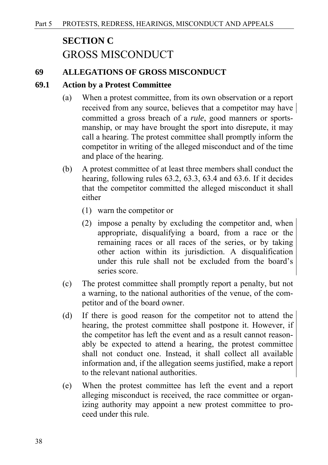## **SECTION C**  GROSS MISCONDUCT

#### **69 ALLEGATIONS OF GROSS MISCONDUCT**

#### **69.1 Action by a Protest Committee**

- (a) When a protest committee, from its own observation or a report received from any source, believes that a competitor may have committed a gross breach of a *rule*, good manners or sportsmanship, or may have brought the sport into disrepute, it may call a hearing. The protest committee shall promptly inform the competitor in writing of the alleged misconduct and of the time and place of the hearing.
- (b) A protest committee of at least three members shall conduct the hearing, following rules 63.2, 63.3, 63.4 and 63.6. If it decides that the competitor committed the alleged misconduct it shall either
	- (1) warn the competitor or
	- (2) impose a penalty by excluding the competitor and, when appropriate, disqualifying a board, from a race or the remaining races or all races of the series, or by taking other action within its jurisdiction. A disqualification under this rule shall not be excluded from the board's series score.
- (c) The protest committee shall promptly report a penalty, but not a warning, to the national authorities of the venue, of the competitor and of the board owner.
- (d) If there is good reason for the competitor not to attend the hearing, the protest committee shall postpone it. However, if the competitor has left the event and as a result cannot reasonably be expected to attend a hearing, the protest committee shall not conduct one. Instead, it shall collect all available information and, if the allegation seems justified, make a report to the relevant national authorities.
- (e) When the protest committee has left the event and a report alleging misconduct is received, the race committee or organizing authority may appoint a new protest committee to proceed under this rule.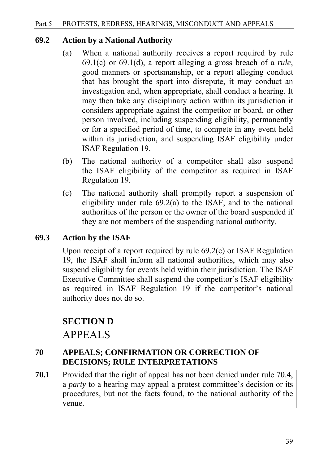#### **69.2 Action by a National Authority**

- (a) When a national authority receives a report required by rule 69.1(c) or 69.1(d), a report alleging a gross breach of a *rule*, good manners or sportsmanship, or a report alleging conduct that has brought the sport into disrepute, it may conduct an investigation and, when appropriate, shall conduct a hearing. It may then take any disciplinary action within its jurisdiction it considers appropriate against the competitor or board, or other person involved, including suspending eligibility, permanently or for a specified period of time, to compete in any event held within its jurisdiction, and suspending ISAF eligibility under ISAF Regulation 19.
- (b) The national authority of a competitor shall also suspend the ISAF eligibility of the competitor as required in ISAF Regulation 19.
- (c) The national authority shall promptly report a suspension of eligibility under rule 69.2(a) to the ISAF, and to the national authorities of the person or the owner of the board suspended if they are not members of the suspending national authority.

## **69.3 Action by the ISAF**

Upon receipt of a report required by rule 69.2(c) or ISAF Regulation 19, the ISAF shall inform all national authorities, which may also suspend eligibility for events held within their jurisdiction. The ISAF Executive Committee shall suspend the competitor's ISAF eligibility as required in ISAF Regulation 19 if the competitor's national authority does not do so.

## **SECTION D** APPEALS

## **70 APPEALS; CONFIRMATION OR CORRECTION OF DECISIONS; RULE INTERPRETATIONS**

**70.1** Provided that the right of appeal has not been denied under rule 70.4, a *party* to a hearing may appeal a protest committee's decision or its procedures, but not the facts found, to the national authority of the venue.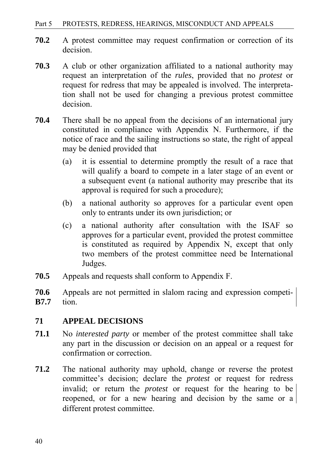- **70.2** A protest committee may request confirmation or correction of its decision.
- **70.3** A club or other organization affiliated to a national authority may request an interpretation of the *rules*, provided that no *protest* or request for redress that may be appealed is involved. The interpretation shall not be used for changing a previous protest committee decision.
- **70.4** There shall be no appeal from the decisions of an international jury constituted in compliance with Appendix N. Furthermore, if the notice of race and the sailing instructions so state, the right of appeal may be denied provided that
	- (a) it is essential to determine promptly the result of a race that will qualify a board to compete in a later stage of an event or a subsequent event (a national authority may prescribe that its approval is required for such a procedure);
	- (b) a national authority so approves for a particular event open only to entrants under its own jurisdiction; or
	- (c) a national authority after consultation with the ISAF so approves for a particular event, provided the protest committee is constituted as required by Appendix N, except that only two members of the protest committee need be International Judges.
- **70.5** Appeals and requests shall conform to Appendix F.
- **70.6** Appeals are not permitted in slalom racing and expression competi-**B7.7** tion.

## **71 APPEAL DECISIONS**

- **71.1** No *interested party* or member of the protest committee shall take any part in the discussion or decision on an appeal or a request for confirmation or correction.
- **71.2** The national authority may uphold, change or reverse the protest committee's decision; declare the *protest* or request for redress invalid; or return the *protest* or request for the hearing to be reopened, or for a new hearing and decision by the same or a different protest committee.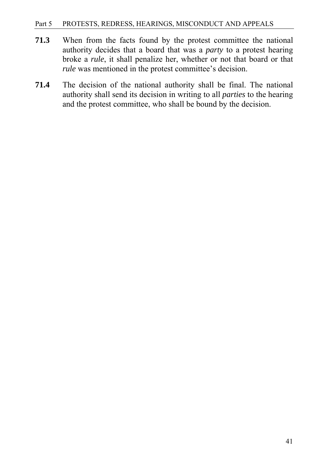- **71.3** When from the facts found by the protest committee the national authority decides that a board that was a *party* to a protest hearing broke a *rule*, it shall penalize her, whether or not that board or that *rule* was mentioned in the protest committee's decision.
- **71.4** The decision of the national authority shall be final. The national authority shall send its decision in writing to all *parties* to the hearing and the protest committee, who shall be bound by the decision.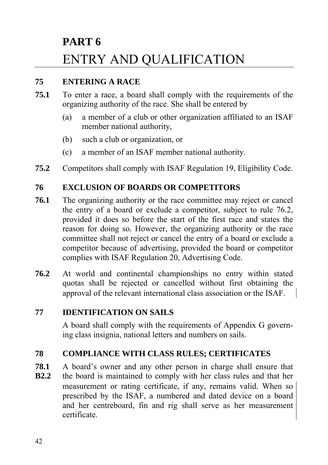# **PART 6**  ENTRY AND QUALIFICATION

## **75 ENTERING A RACE**

- **75.1** To enter a race, a board shall comply with the requirements of the organizing authority of the race. She shall be entered by
	- (a) a member of a club or other organization affiliated to an ISAF member national authority,
	- (b) such a club or organization, or
	- (c) a member of an ISAF member national authority.
- **75.2** Competitors shall comply with ISAF Regulation 19, Eligibility Code.

## **76 EXCLUSION OF BOARDS OR COMPETITORS**

- **76.1** The organizing authority or the race committee may reject or cancel the entry of a board or exclude a competitor, subject to rule 76.2, provided it does so before the start of the first race and states the reason for doing so. However, the organizing authority or the race committee shall not reject or cancel the entry of a board or exclude a competitor because of advertising, provided the board or competitor complies with ISAF Regulation 20, Advertising Code.
- **76.2** At world and continental championships no entry within stated quotas shall be rejected or cancelled without first obtaining the approval of the relevant international class association or the ISAF.

## **77 IDENTIFICATION ON SAILS**

A board shall comply with the requirements of Appendix G governing class insignia, national letters and numbers on sails.

## **78 COMPLIANCE WITH CLASS RULES; CERTIFICATES**

**78.1** A board's owner and any other person in charge shall ensure that

**B2.2** the board is maintained to comply with her class rules and that her measurement or rating certificate, if any, remains valid. When so prescribed by the ISAF, a numbered and dated device on a board and her centreboard, fin and rig shall serve as her measurement certificate.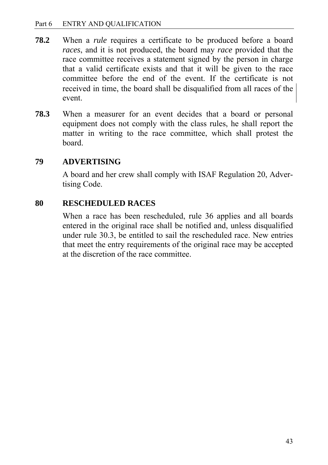- **78.2** When a *rule* requires a certificate to be produced before a board *races*, and it is not produced, the board may *race* provided that the race committee receives a statement signed by the person in charge that a valid certificate exists and that it will be given to the race committee before the end of the event. If the certificate is not received in time, the board shall be disqualified from all races of the event.
- **78.3** When a measurer for an event decides that a board or personal equipment does not comply with the class rules, he shall report the matter in writing to the race committee, which shall protest the board.

## **79 ADVERTISING**

A board and her crew shall comply with ISAF Regulation 20, Advertising Code.

## **80 RESCHEDULED RACES**

When a race has been rescheduled, rule 36 applies and all boards entered in the original race shall be notified and, unless disqualified under rule 30.3, be entitled to sail the rescheduled race. New entries that meet the entry requirements of the original race may be accepted at the discretion of the race committee.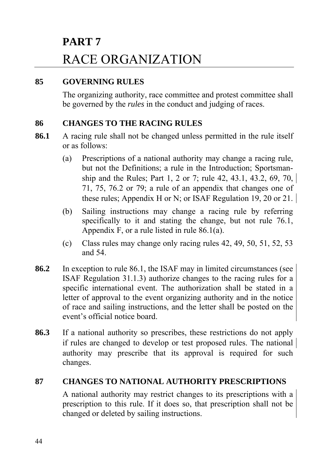# **PART 7**  RACE ORGANIZATION

## **85 GOVERNING RULES**

The organizing authority, race committee and protest committee shall be governed by the *rules* in the conduct and judging of races.

## **86 CHANGES TO THE RACING RULES**

- **86.1** A racing rule shall not be changed unless permitted in the rule itself or as follows:
	- (a) Prescriptions of a national authority may change a racing rule, but not the Definitions; a rule in the Introduction; Sportsman ship and the Rules; Part 1, 2 or 7; rule 42, 43.1, 43.2, 69, 70, 71, 75, 76.2 or 79; a rule of an appendix that changes one of these rules; Appendix H or N; or ISAF Regulation 19, 20 or 21.
	- (b) Sailing instructions may change a racing rule by referring specifically to it and stating the change, but not rule 76.1, Appendix F, or a rule listed in rule 86.1(a).
	- (c) Class rules may change only racing rules 42, 49, 50, 51, 52, 53 and 54.
- **86.2** In exception to rule 86.1, the ISAF may in limited circumstances (see ISAF Regulation 31.1.3) authorize changes to the racing rules for a specific international event. The authorization shall be stated in a letter of approval to the event organizing authority and in the notice of race and sailing instructions, and the letter shall be posted on the event's official notice board.
- **86.3** If a national authority so prescribes, these restrictions do not apply if rules are changed to develop or test proposed rules. The national authority may prescribe that its approval is required for such changes.

## **87 CHANGES TO NATIONAL AUTHORITY PRESCRIPTIONS**

A national authority may restrict changes to its prescriptions with a prescription to this rule. If it does so, that prescription shall not be changed or deleted by sailing instructions.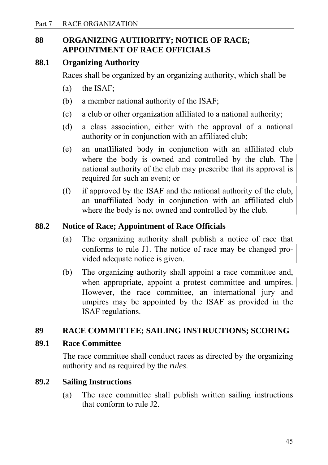## **88 ORGANIZING AUTHORITY; NOTICE OF RACE; APPOINTMENT OF RACE OFFICIALS**

## **88.1 Organizing Authority**

Races shall be organized by an organizing authority, which shall be

- (a) the ISAF;
- (b) a member national authority of the ISAF;
- (c) a club or other organization affiliated to a national authority;
- (d) a class association, either with the approval of a national authority or in conjunction with an affiliated club;
- (e) an unaffiliated body in conjunction with an affiliated club where the body is owned and controlled by the club. The national authority of the club may prescribe that its approval is required for such an event; or
- (f) if approved by the ISAF and the national authority of the club, an unaffiliated body in conjunction with an affiliated club where the body is not owned and controlled by the club.

#### **88.2 Notice of Race; Appointment of Race Officials**

- (a) The organizing authority shall publish a notice of race that conforms to rule J1. The notice of race may be changed provided adequate notice is given.
- (b) The organizing authority shall appoint a race committee and, when appropriate, appoint a protest committee and umpires. However, the race committee, an international jury and umpires may be appointed by the ISAF as provided in the ISAF regulations.

## **89 RACE COMMITTEE; SAILING INSTRUCTIONS; SCORING**

#### **89.1 Race Committee**

The race committee shall conduct races as directed by the organizing authority and as required by the *rules*.

#### **89.2 Sailing Instructions**

(a) The race committee shall publish written sailing instructions that conform to rule J2.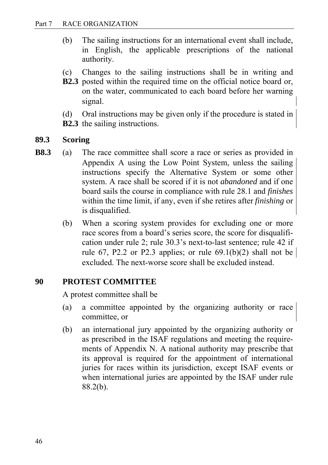- (b) The sailing instructions for an international event shall include, in English, the applicable prescriptions of the national authority.
- (c) Changes to the sailing instructions shall be in writing and
- **B2.3** posted within the required time on the official notice board or, on the water, communicated to each board before her warning signal.
- (d) Oral instructions may be given only if the procedure is stated in
- **B2.3** the sailing instructions.

#### **89.3 Scoring**

- **B8.3** (a) The race committee shall score a race or series as provided in Appendix A using the Low Point System, unless the sailing instructions specify the Alternative System or some other system. A race shall be scored if it is not *abandoned* and if one board sails the course in compliance with rule 28.1 and *finishes* within the time limit, if any, even if she retires after *finishing* or is disqualified.
	- (b) When a scoring system provides for excluding one or more race scores from a board's series score, the score for disqualification under rule 2; rule 30.3's next-to-last sentence; rule 42 if rule 67, P2.2 or P2.3 applies; or rule 69.1(b)(2) shall not be excluded. The next-worse score shall be excluded instead.

## **90 PROTEST COMMITTEE**

A protest committee shall be

- (a) a committee appointed by the organizing authority or race committee, or
- (b) an international jury appointed by the organizing authority or as prescribed in the ISAF regulations and meeting the requirements of Appendix N. A national authority may prescribe that its approval is required for the appointment of international juries for races within its jurisdiction, except ISAF events or when international juries are appointed by the ISAF under rule 88.2(b).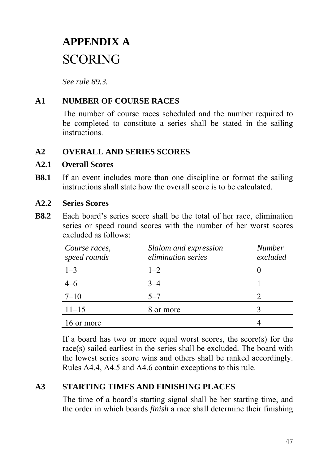# **APPENDIX A**  SCORING

*See rule 89.3.*

## **A1 NUMBER OF COURSE RACES**

The number of course races scheduled and the number required to be completed to constitute a series shall be stated in the sailing instructions.

## **A2 OVERALL AND SERIES SCORES**

#### **A2.1 Overall Scores**

**B8.1** If an event includes more than one discipline or format the sailing instructions shall state how the overall score is to be calculated.

#### **A2.2 Series Scores**

**B8.2** Each board's series score shall be the total of her race, elimination series or speed round scores with the number of her worst scores excluded as follows:

| Course races,<br>speed rounds | Slalom and expression<br><i>elimination series</i> | <b>Number</b><br>excluded |
|-------------------------------|----------------------------------------------------|---------------------------|
| $1 - 3$                       | $1 - 2$                                            |                           |
|                               |                                                    |                           |
| $7 - 10$                      | $5 - 7$                                            |                           |
| $11 - 15$                     | 8 or more                                          |                           |
| 16 or more                    |                                                    |                           |

If a board has two or more equal worst scores, the score(s) for the race(s) sailed earliest in the series shall be excluded. The board with the lowest series score wins and others shall be ranked accordingly. Rules A4.4, A4.5 and A4.6 contain exceptions to this rule.

## **A3 STARTING TIMES AND FINISHING PLACES**

The time of a board's starting signal shall be her starting time, and the order in which boards *finish* a race shall determine their finishing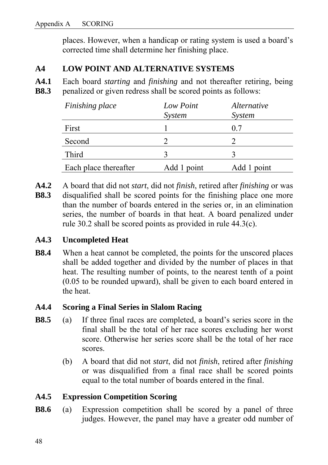places. However, when a handicap or rating system is used a board's corrected time shall determine her finishing place.

## **A4 LOW POINT AND ALTERNATIVE SYSTEMS**

**A4.1** Each board *starting* and *finishing* and not thereafter retiring, being **B8.3 penalized or given redress shall be scored points as follows:** 

| Finishing place       | Low Point<br>System | <i>Alternative</i><br>System |
|-----------------------|---------------------|------------------------------|
| First                 |                     | 0.7                          |
| Second                |                     |                              |
| <b>Third</b>          |                     |                              |
| Each place thereafter | Add 1 point         | Add 1 point                  |

- **A4.2** A board that did not *start*, did not *finish*, retired after *finishing* or was
- **B8.3** disqualified shall be scored points for the finishing place one more than the number of boards entered in the series or, in an elimination series, the number of boards in that heat. A board penalized under rule 30.2 shall be scored points as provided in rule 44.3(c).

## **A4.3 Uncompleted Heat**

**B8.4** When a heat cannot be completed, the points for the unscored places shall be added together and divided by the number of places in that heat. The resulting number of points, to the nearest tenth of a point (0.05 to be rounded upward), shall be given to each board entered in the heat.

## **A4.4 Scoring a Final Series in Slalom Racing**

- **B8.5** (a) If three final races are completed, a board's series score in the final shall be the total of her race scores excluding her worst score. Otherwise her series score shall be the total of her race scores.
	- (b) A board that did not *start*, did not *finish*, retired after *finishing* or was disqualified from a final race shall be scored points equal to the total number of boards entered in the final.

## **A4.5 Expression Competition Scoring**

**B8.6** (a) Expression competition shall be scored by a panel of three judges. However, the panel may have a greater odd number of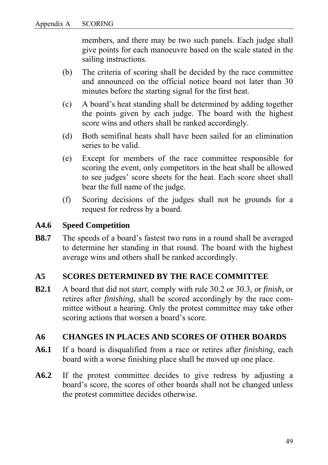members, and there may be two such panels. Each judge shall give points for each manoeuvre based on the scale stated in the sailing instructions.

- (b) The criteria of scoring shall be decided by the race committee and announced on the official notice board not later than 30 minutes before the starting signal for the first heat.
- (c) A board's heat standing shall be determined by adding together the points given by each judge. The board with the highest score wins and others shall be ranked accordingly.
- (d) Both semifinal heats shall have been sailed for an elimination series to be valid.
- (e) Except for members of the race committee responsible for scoring the event, only competitors in the heat shall be allowed to see judges' score sheets for the heat. Each score sheet shall bear the full name of the judge.
- (f) Scoring decisions of the judges shall not be grounds for a request for redress by a board.

## **A4.6 Speed Competition**

**B8.7** The speeds of a board's fastest two runs in a round shall be averaged to determine her standing in that round. The board with the highest average wins and others shall be ranked accordingly.

## **A5 SCORES DETERMINED BY THE RACE COMMITTEE**

**B2.1** A board that did not *start*, comply with rule 30.2 or 30.3, or *finish*, or retires after *finishing*, shall be scored accordingly by the race committee without a hearing. Only the protest committee may take other scoring actions that worsen a board's score.

## **A6 CHANGES IN PLACES AND SCORES OF OTHER BOARDS**

- **A6.1** If a board is disqualified from a race or retires after *finishing*, each board with a worse finishing place shall be moved up one place.
- **A6.2** If the protest committee decides to give redress by adjusting a board's score, the scores of other boards shall not be changed unless the protest committee decides otherwise.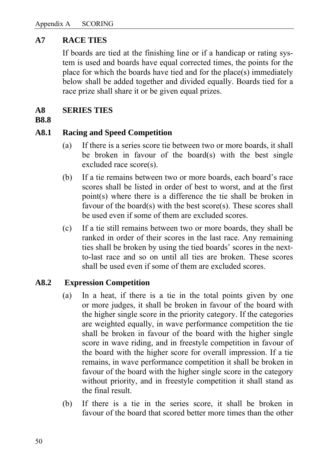### **A7 RACE TIES**

If boards are tied at the finishing line or if a handicap or rating system is used and boards have equal corrected times, the points for the place for which the boards have tied and for the place(s) immediately below shall be added together and divided equally. Boards tied for a race prize shall share it or be given equal prizes.

#### **A8 SERIES TIES**

#### **B8.8**

#### **A8.1 Racing and Speed Competition**

- (a) If there is a series score tie between two or more boards, it shall be broken in favour of the board(s) with the best single excluded race score(s).
- (b) If a tie remains between two or more boards, each board's race scores shall be listed in order of best to worst, and at the first point(s) where there is a difference the tie shall be broken in favour of the board(s) with the best score(s). These scores shall be used even if some of them are excluded scores.
- (c)If a tie still remains between two or more boards, they shall be ranked in order of their scores in the last race. Any remaining ties shall be broken by using the tied boards' scores in the nextto-last race and so on until all ties are broken. These scores shall be used even if some of them are excluded scores.

#### **A8.2 Expression Competition**

- (a) In a heat, if there is a tie in the total points given by one or more judges, it shall be broken in favour of the board with the higher single score in the priority category. If the categories are weighted equally, in wave performance competition the tie shall be broken in favour of the board with the higher single score in wave riding, and in freestyle competition in favour of the board with the higher score for overall impression. If a tie remains, in wave performance competition it shall be broken in favour of the board with the higher single score in the category without priority, and in freestyle competition it shall stand as the final result.
- (b) If there is a tie in the series score, it shall be broken in favour of the board that scored better more times than the other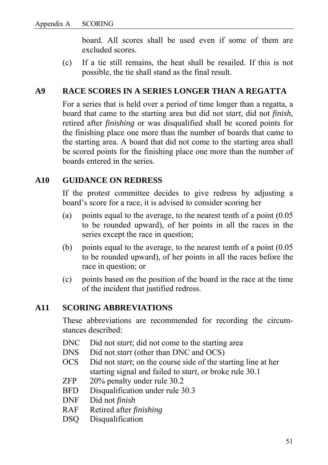board. All scores shall be used even if some of them are excluded scores.

(c) If a tie still remains, the heat shall be resailed. If this is not possible, the tie shall stand as the final result.

### **A9 RACE SCORES IN A SERIES LONGER THAN A REGATTA**

For a series that is held over a period of time longer than a regatta, a board that came to the starting area but did not *start,* did not *finish*, retired after *finishing* or was disqualified shall be scored points for the finishing place one more than the number of boards that came to the starting area. A board that did not come to the starting area shall be scored points for the finishing place one more than the number of boards entered in the series.

#### **A10 GUIDANCE ON REDRESS**

If the protest committee decides to give redress by adjusting a board's score for a race, it is advised to consider scoring her

- (a) points equal to the average, to the nearest tenth of a point (0.05 to be rounded upward), of her points in all the races in the series except the race in question;
- (b) points equal to the average, to the nearest tenth of a point (0.05 to be rounded upward), of her points in all the races before the race in question; or
- (c) points based on the position of the board in the race at the time of the incident that justified redress.

#### **A11 SCORING ABBREVIATIONS**

These abbreviations are recommended for recording the circumstances described:

- DNC Did not *start*; did not come to the starting area
- DNS Did not *start* (other than DNC and OCS)
- OCS Did not *start*; on the course side of the starting line at her starting signal and failed to *start*, or broke rule 30.1
- ZFP 20% penalty under rule 30.2
- BFD Disqualification under rule 30.3
- DNF Did not *finish*
- RAF Retired after *finishing*
- DSO Disqualification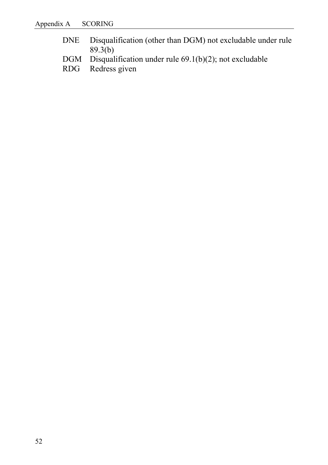- DNE Disqualification (other than DGM) not excludable under rule  $89.3(b)$
- DGM Disqualification under rule 69.1(b)(2); not excludable<br>RDG Redress given
- Redress given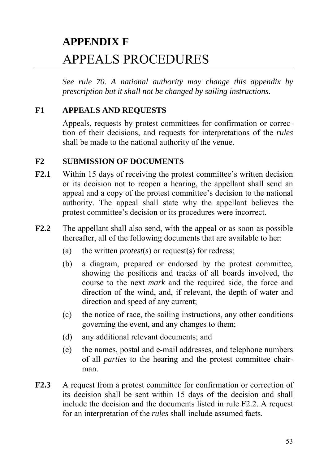# **APPENDIX F**  APPEALS PROCEDURES

*See rule 70. A national authority may change this appendix by prescription but it shall not be changed by sailing instructions.* 

## **F1 APPEALS AND REQUESTS**

Appeals, requests by protest committees for confirmation or correction of their decisions, and requests for interpretations of the *rules* shall be made to the national authority of the venue.

#### **F2 SUBMISSION OF DOCUMENTS**

- **F2.1** Within 15 days of receiving the protest committee's written decision or its decision not to reopen a hearing, the appellant shall send an appeal and a copy of the protest committee's decision to the national authority. The appeal shall state why the appellant believes the protest committee's decision or its procedures were incorrect.
- **F2.2** The appellant shall also send, with the appeal or as soon as possible thereafter, all of the following documents that are available to her:
	- (a) the written *protest*(*s*) or request(s) for redress;
	- (b) a diagram, prepared or endorsed by the protest committee, showing the positions and tracks of all boards involved, the course to the next *mark* and the required side, the force and direction of the wind, and, if relevant, the depth of water and direction and speed of any current;
	- (c) the notice of race, the sailing instructions, any other conditions governing the event, and any changes to them;
	- (d) any additional relevant documents; and
	- (e) the names, postal and e-mail addresses, and telephone numbers of all *parties* to the hearing and the protest committee chairman.
- **F2.3** A request from a protest committee for confirmation or correction of its decision shall be sent within 15 days of the decision and shall include the decision and the documents listed in rule F2.2. A request for an interpretation of the *rules* shall include assumed facts.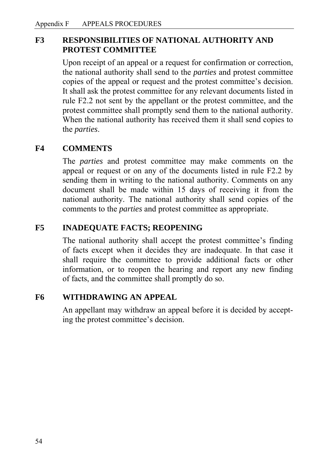## **F3 RESPONSIBILITIES OF NATIONAL AUTHORITY AND PROTEST COMMITTEE**

Upon receipt of an appeal or a request for confirmation or correction, the national authority shall send to the *parties* and protest committee copies of the appeal or request and the protest committee's decision. It shall ask the protest committee for any relevant documents listed in rule F2.2 not sent by the appellant or the protest committee, and the protest committee shall promptly send them to the national authority. When the national authority has received them it shall send copies to the *parties*.

## **F4 COMMENTS**

 The *parties* and protest committee may make comments on the appeal or request or on any of the documents listed in rule F2.2 by sending them in writing to the national authority. Comments on any document shall be made within 15 days of receiving it from the national authority. The national authority shall send copies of the comments to the *parties* and protest committee as appropriate.

## **F5 INADEQUATE FACTS; REOPENING**

The national authority shall accept the protest committee's finding of facts except when it decides they are inadequate. In that case it shall require the committee to provide additional facts or other information, or to reopen the hearing and report any new finding of facts, and the committee shall promptly do so.

## **F6 WITHDRAWING AN APPEAL**

An appellant may withdraw an appeal before it is decided by accepting the protest committee's decision.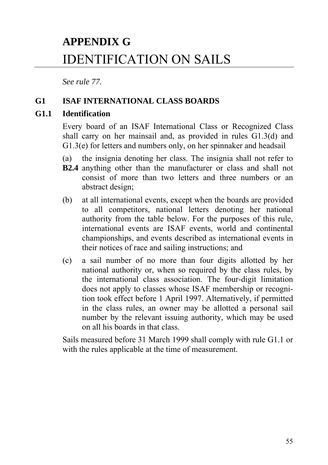# **APPENDIX G**  IDENTIFICATION ON SAILS

*See rule 77.* 

## **G1 ISAF INTERNATIONAL CLASS BOARDS**

### **G1.1 Identification**

Every board of an ISAF International Class or Recognized Class shall carry on her mainsail and, as provided in rules G1.3(d) and G1.3(e) for letters and numbers only, on her spinnaker and headsail

- (a) the insignia denoting her class. The insignia shall not refer to
- **B2.4** anything other than the manufacturer or class and shall not consist of more than two letters and three numbers or an abstract design;
- (b) at all international events, except when the boards are provided to all competitors, national letters denoting her national authority from the table below. For the purposes of this rule, international events are ISAF events, world and continental championships, and events described as international events in their notices of race and sailing instructions; and
- (c) a sail number of no more than four digits allotted by her national authority or, when so required by the class rules, by the international class association. The four-digit limitation does not apply to classes whose ISAF membership or recognition took effect before 1 April 1997. Alternatively, if permitted in the class rules, an owner may be allotted a personal sail number by the relevant issuing authority, which may be used on all his boards in that class.

Sails measured before 31 March 1999 shall comply with rule G1.1 or with the rules applicable at the time of measurement.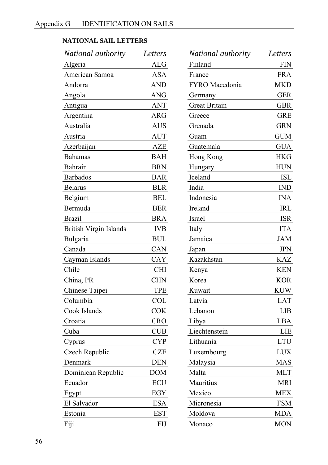## **NATIONAL SAIL LETTERS**

| National authority            | Letters    |
|-------------------------------|------------|
| Algeria                       | <b>ALG</b> |
| American Samoa                | <b>ASA</b> |
| Andorra                       | <b>AND</b> |
| Angola                        | <b>ANG</b> |
| Antigua                       | <b>ANT</b> |
| Argentina                     | ARG        |
| Australia                     | AUS        |
| Austria                       | AUT        |
| Azerbaijan                    | <b>AZE</b> |
| <b>Bahamas</b>                | <b>BAH</b> |
| <b>Bahrain</b>                | <b>BRN</b> |
| <b>Barbados</b>               | <b>BAR</b> |
| <b>Belarus</b>                | <b>BLR</b> |
| Belgium                       | <b>BEL</b> |
| Bermuda                       | <b>BER</b> |
| <b>Brazil</b>                 | <b>BRA</b> |
| <b>British Virgin Islands</b> | <b>IVB</b> |
| Bulgaria                      | <b>BUL</b> |
| Canada                        | CAN        |
| Cayman Islands                | CAY        |
| Chile                         | <b>CHI</b> |
| China, PR                     | <b>CHN</b> |
| Chinese Taipei                | TPE        |
| Columbia                      | <b>COL</b> |
| Cook Islands                  | <b>COK</b> |
| Croatia                       | <b>CRO</b> |
| Cuba                          | CUB        |
| Cyprus                        | CYP        |
| Czech Republic                | <b>CZE</b> |
| Denmark                       | DEN        |
| Dominican Republic            | <b>DOM</b> |
| Ecuador                       | ECU        |
| Egypt                         | EGY        |
| El Salvador                   | <b>ESA</b> |
| Estonia                       | <b>EST</b> |
| Fiji                          | FIJ        |

| National authority    | Letters    |
|-----------------------|------------|
| Finland               | <b>FIN</b> |
| France                | <b>FRA</b> |
| <b>FYRO</b> Macedonia | <b>MKD</b> |
| Germany               | <b>GER</b> |
| <b>Great Britain</b>  | GBR        |
| Greece                | <b>GRE</b> |
| Grenada               | <b>GRN</b> |
| Guam                  | GUM        |
| Guatemala             | <b>GUA</b> |
| Hong Kong             | <b>HKG</b> |
| Hungary               | <b>HUN</b> |
| Iceland               | ISL        |
| India                 | <b>IND</b> |
| Indonesia             | <b>INA</b> |
| Ireland               | <b>IRL</b> |
| Israel                | <b>ISR</b> |
| Italy                 | <b>ITA</b> |
| Jamaica               | <b>JAM</b> |
| Japan                 | <b>JPN</b> |
| Kazakhstan            | <b>KAZ</b> |
| Kenya                 | <b>KEN</b> |
| Korea                 | <b>KOR</b> |
| Kuwait                | <b>KUW</b> |
| Latvia                | <b>LAT</b> |
| Lebanon               | LIB        |
| Libya                 | LBA        |
| Liechtenstein         | LIE        |
| Lithuania             | <b>LTU</b> |
| Luxembourg            | <b>LUX</b> |
| Malaysia              | MAS        |
| Malta                 | <b>MLT</b> |
| Mauritius             | <b>MRI</b> |
| Mexico                | MEX        |
| Micronesia            | <b>FSM</b> |
| Moldova               | MDA        |
| Monaco                | MON        |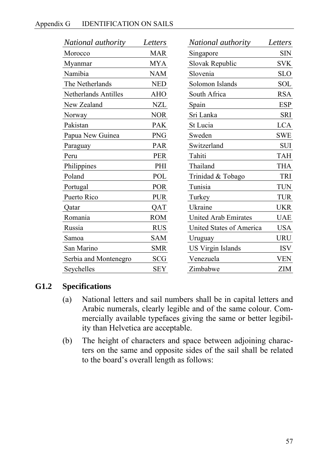| National authority          | Letters    | <i>National authority</i>   | Letters    |
|-----------------------------|------------|-----------------------------|------------|
| Morocco                     | <b>MAR</b> | Singapore                   | <b>SIN</b> |
| Myanmar                     | <b>MYA</b> | Slovak Republic             | <b>SVK</b> |
| Namibia                     | <b>NAM</b> | Slovenia                    | <b>SLO</b> |
| The Netherlands             | <b>NED</b> | Solomon Islands             | <b>SOL</b> |
| <b>Netherlands Antilles</b> | <b>AHO</b> | South Africa                | <b>RSA</b> |
| New Zealand                 | <b>NZL</b> | Spain                       | <b>ESP</b> |
| Norway                      | <b>NOR</b> | Sri Lanka                   | <b>SRI</b> |
| Pakistan                    | <b>PAK</b> | St Lucia                    | <b>LCA</b> |
| Papua New Guinea            | <b>PNG</b> | Sweden                      | <b>SWE</b> |
| Paraguay                    | PAR        | Switzerland                 | <b>SUI</b> |
| Peru                        | <b>PER</b> | Tahiti                      | <b>TAH</b> |
| Philippines                 | PHI        | Thailand                    | <b>THA</b> |
| Poland                      | POL        | Trinidad & Tobago           | <b>TRI</b> |
| Portugal                    | <b>POR</b> | Tunisia                     | <b>TUN</b> |
| Puerto Rico                 | <b>PUR</b> | Turkey                      | <b>TUR</b> |
| Qatar                       | <b>OAT</b> | Ukraine                     | <b>UKR</b> |
| Romania                     | <b>ROM</b> | <b>United Arab Emirates</b> | <b>UAE</b> |
| Russia                      | <b>RUS</b> | United States of America    | <b>USA</b> |
| Samoa                       | <b>SAM</b> | Uruguay                     | <b>URU</b> |
| San Marino                  | <b>SMR</b> | <b>US Virgin Islands</b>    | <b>ISV</b> |
| Serbia and Montenegro       | <b>SCG</b> | Venezuela                   | <b>VEN</b> |
| Seychelles                  | <b>SEY</b> | Zimbabwe                    | <b>ZIM</b> |

## **G1.2 Specifications**

- (a) National letters and sail numbers shall be in capital letters and Arabic numerals, clearly legible and of the same colour. Commercially available typefaces giving the same or better legibility than Helvetica are acceptable.
- (b) The height of characters and space between adjoining characters on the same and opposite sides of the sail shall be related to the board's overall length as follows: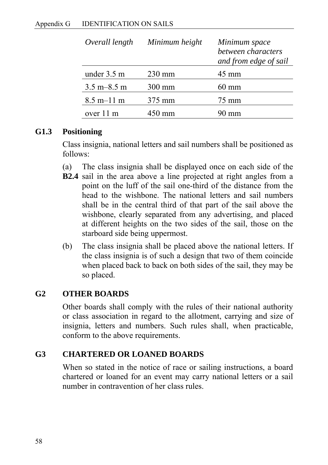| Overall length                  | Minimum height | Minimum space<br>between characters<br>and from edge of sail |
|---------------------------------|----------------|--------------------------------------------------------------|
| under 3.5 m                     | $230$ mm       | 45 mm                                                        |
| $3.5 \text{ m} - 8.5 \text{ m}$ | $300$ mm       | $60 \text{ mm}$                                              |
| $8.5 \text{ m} - 11 \text{ m}$  | 375 mm         | 75 mm                                                        |
| over 11 m                       | 450 mm         | $\mathbf{m}$                                                 |

#### **G1.3 Positioning**

Class insignia, national letters and sail numbers shall be positioned as follows:

- (a) The class insignia shall be displayed once on each side of the
- **B2.4** sail in the area above a line projected at right angles from a point on the luff of the sail one-third of the distance from the head to the wishbone. The national letters and sail numbers shall be in the central third of that part of the sail above the wishbone, clearly separated from any advertising, and placed at different heights on the two sides of the sail, those on the starboard side being uppermost.
- (b) The class insignia shall be placed above the national letters. If the class insignia is of such a design that two of them coincide when placed back to back on both sides of the sail, they may be so placed.

## **G2 OTHER BOARDS**

Other boards shall comply with the rules of their national authority or class association in regard to the allotment, carrying and size of insignia, letters and numbers. Such rules shall, when practicable, conform to the above requirements.

## **G3 CHARTERED OR LOANED BOARDS**

When so stated in the notice of race or sailing instructions, a board chartered or loaned for an event may carry national letters or a sail number in contravention of her class rules.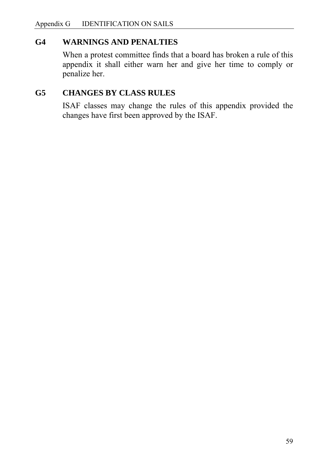## **G4 WARNINGS AND PENALTIES**

When a protest committee finds that a board has broken a rule of this appendix it shall either warn her and give her time to comply or penalize her.

#### **G5 CHANGES BY CLASS RULES**

 ISAF classes may change the rules of this appendix provided the changes have first been approved by the ISAF.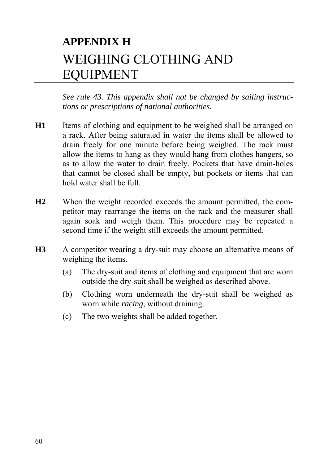# **APPENDIX H**  WEIGHING CLOTHING AND EQUIPMENT

*See rule 43. This appendix shall not be changed by sailing instructions or prescriptions of national authorities.* 

- **H1** Items of clothing and equipment to be weighed shall be arranged on a rack. After being saturated in water the items shall be allowed to drain freely for one minute before being weighed. The rack must allow the items to hang as they would hang from clothes hangers, so as to allow the water to drain freely. Pockets that have drain-holes that cannot be closed shall be empty, but pockets or items that can hold water shall be full.
- **H2** When the weight recorded exceeds the amount permitted, the competitor may rearrange the items on the rack and the measurer shall again soak and weigh them. This procedure may be repeated a second time if the weight still exceeds the amount permitted.
- **H3** A competitor wearing a dry-suit may choose an alternative means of weighing the items.
	- (a) The dry-suit and items of clothing and equipment that are worn outside the dry-suit shall be weighed as described above.
	- (b) Clothing worn underneath the dry-suit shall be weighed as worn while *racing*, without draining.
	- (c) The two weights shall be added together.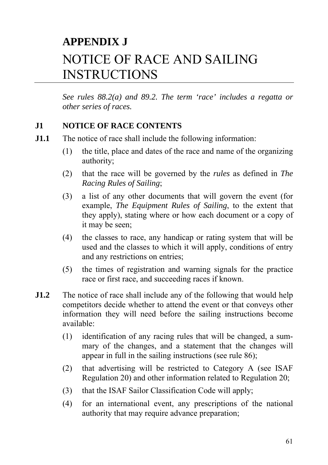# **APPENDIX J**  NOTICE OF RACE AND SAILING INSTRUCTIONS

*See rules 88.2(a) and 89.2. The term 'race' includes a regatta or other series of races.*

## **J1 NOTICE OF RACE CONTENTS**

- **J1.1** The notice of race shall include the following information:
	- (1) the title, place and dates of the race and name of the organizing authority;
	- (2) that the race will be governed by the *rules* as defined in *The Racing Rules of Sailing*;
	- (3) a list of any other documents that will govern the event (for example, *The Equipment Rules of Sailing*, to the extent that they apply), stating where or how each document or a copy of it may be seen;
	- (4) the classes to race, any handicap or rating system that will be used and the classes to which it will apply, conditions of entry and any restrictions on entries;
	- (5) the times of registration and warning signals for the practice race or first race, and succeeding races if known.
- **J1.2** The notice of race shall include any of the following that would help competitors decide whether to attend the event or that conveys other information they will need before the sailing instructions become available:
	- (1) identification of any racing rules that will be changed, a summary of the changes, and a statement that the changes will appear in full in the sailing instructions (see rule 86);
	- (2) that advertising will be restricted to Category A (see ISAF Regulation 20) and other information related to Regulation 20;
	- (3) that the ISAF Sailor Classification Code will apply;
	- (4) for an international event, any prescriptions of the national authority that may require advance preparation;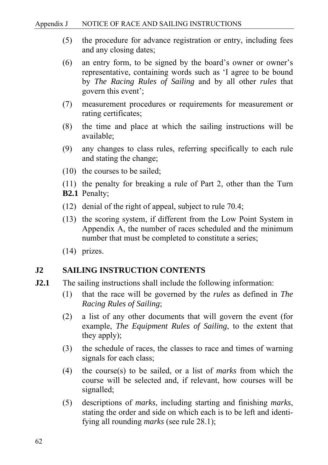- (5) the procedure for advance registration or entry, including fees and any closing dates;
- (6) an entry form, to be signed by the board's owner or owner's representative, containing words such as 'I agree to be bound by *The Racing Rules of Sailing* and by all other *rules* that govern this event';
- (7) measurement procedures or requirements for measurement or rating certificates;
- (8) the time and place at which the sailing instructions will be available;
- (9) any changes to class rules, referring specifically to each rule and stating the change;
- (10) the courses to be sailed;
- (11) the penalty for breaking a rule of Part 2, other than the Turn **B2.1** Penalty;
- (12) denial of the right of appeal, subject to rule 70.4;
- (13) the scoring system, if different from the Low Point System in Appendix A, the number of races scheduled and the minimum number that must be completed to constitute a series;
- (14) prizes.

#### **J2 SAILING INSTRUCTION CONTENTS**

- **J2.1** The sailing instructions shall include the following information:
	- (1) that the race will be governed by the *rules* as defined in *The Racing Rules of Sailing*;
	- (2) a list of any other documents that will govern the event (for example, *The Equipment Rules of Sailing*, to the extent that they apply);
	- (3) the schedule of races, the classes to race and times of warning signals for each class;
	- (4) the course(s) to be sailed, or a list of *marks* from which the course will be selected and, if relevant, how courses will be signalled;
	- (5) descriptions of *marks*, including starting and finishing *marks*, stating the order and side on which each is to be left and identifying all rounding *marks* (see rule 28.1);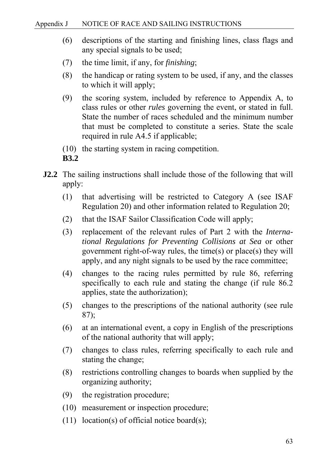- (6) descriptions of the starting and finishing lines, class flags and any special signals to be used;
- (7) the time limit, if any, for *finishing*;
- (8) the handicap or rating system to be used, if any, and the classes to which it will apply;
- (9) the scoring system, included by reference to Appendix A, to class rules or other *rules* governing the event, or stated in full. State the number of races scheduled and the minimum number that must be completed to constitute a series. State the scale required in rule A4.5 if applicable;
- (10) the starting system in racing competition.
- **B3.2**
- **J2.2** The sailing instructions shall include those of the following that will apply:
	- (1) that advertising will be restricted to Category A (see ISAF Regulation 20) and other information related to Regulation 20;
	- (2) that the ISAF Sailor Classification Code will apply;
	- (3) replacement of the relevant rules of Part 2 with the *International Regulations for Preventing Collisions at Sea* or other government right-of-way rules, the time(s) or place(s) they will apply, and any night signals to be used by the race committee;
	- (4) changes to the racing rules permitted by rule 86, referring specifically to each rule and stating the change (if rule 86.2 applies, state the authorization);
	- (5) changes to the prescriptions of the national authority (see rule 87);
	- (6) at an international event, a copy in English of the prescriptions of the national authority that will apply;
	- (7) changes to class rules, referring specifically to each rule and stating the change;
	- (8) restrictions controlling changes to boards when supplied by the organizing authority;
	- (9) the registration procedure;
	- (10) measurement or inspection procedure;
	- (11) location(s) of official notice board(s);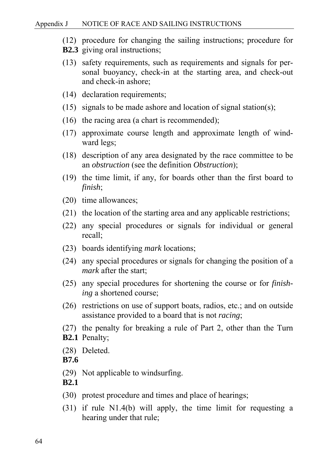- (12) procedure for changing the sailing instructions; procedure for
- **B2.3** giving oral instructions;
- (13) safety requirements, such as requirements and signals for personal buoyancy, check-in at the starting area, and check-out and check-in ashore;
- (14) declaration requirements;
- (15) signals to be made ashore and location of signal station(s);
- (16) the racing area (a chart is recommended);
- (17) approximate course length and approximate length of windward legs;
- (18) description of any area designated by the race committee to be an *obstruction* (see the definition *Obstruction*);
- (19) the time limit, if any, for boards other than the first board to *finish*;
- (20) time allowances;
- (21) the location of the starting area and any applicable restrictions;
- (22) any special procedures or signals for individual or general recall;
- (23) boards identifying *mark* locations;
- (24) any special procedures or signals for changing the position of a *mark* after the start;
- (25) any special procedures for shortening the course or for *finishing* a shortened course;
- (26) restrictions on use of support boats, radios, etc.; and on outside assistance provided to a board that is not *racing*;
- (27) the penalty for breaking a rule of Part 2, other than the Turn **B2.1** Penalty;
- (28) Deleted.
- **B7.6**
- (29) Not applicable to windsurfing.
- **B2.1**
- (30) protest procedure and times and place of hearings;
- (31) if rule N1.4(b) will apply, the time limit for requesting a hearing under that rule;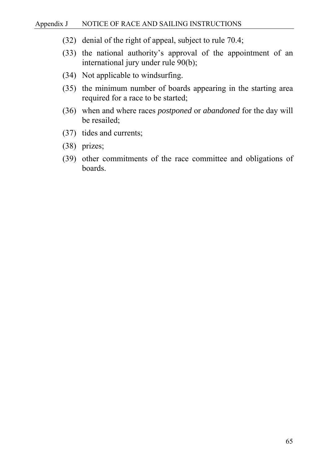- (32) denial of the right of appeal, subject to rule 70.4;
- (33) the national authority's approval of the appointment of an international jury under rule 90(b);
- (34) Not applicable to windsurfing.
- (35) the minimum number of boards appearing in the starting area required for a race to be started;
- (36) when and where races *postponed* or *abandoned* for the day will be resailed;
- (37) tides and currents;
- (38) prizes;
- (39) other commitments of the race committee and obligations of boards.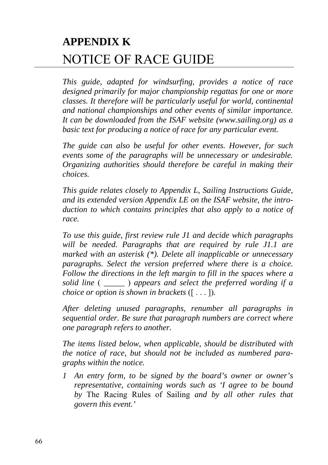# **APPENDIX K**  NOTICE OF RACE GUIDE

*This guide, adapted for windsurfing, provides a notice of race designed primarily for major championship regattas for one or more classes. It therefore will be particularly useful for world, continental and national championships and other events of similar importance. It can be downloaded from the ISAF website (www.sailing.org) as a basic text for producing a notice of race for any particular event.* 

*The guide can also be useful for other events. However, for such events some of the paragraphs will be unnecessary or undesirable. Organizing authorities should therefore be careful in making their choices.* 

*This guide relates closely to Appendix L, Sailing Instructions Guide, and its extended version Appendix LE on the ISAF website, the introduction to which contains principles that also apply to a notice of race.*

*To use this guide, first review rule J1 and decide which paragraphs will be needed. Paragraphs that are required by rule J1.1 are marked with an asterisk (\*). Delete all inapplicable or unnecessary paragraphs. Select the version preferred where there is a choice. Follow the directions in the left margin to fill in the spaces where a solid line* ( *\_\_\_\_\_* ) *appears and select the preferred wording if a choice or option is shown in brackets* ([ . . . ])*.* 

*After deleting unused paragraphs, renumber all paragraphs in sequential order. Be sure that paragraph numbers are correct where one paragraph refers to another.* 

*The items listed below, when applicable, should be distributed with the notice of race, but should not be included as numbered paragraphs within the notice.* 

*1 An entry form, to be signed by the board's owner or owner's representative, containing words such as 'I agree to be bound by* The Racing Rules of Sailing *and by all other rules that govern this event.'*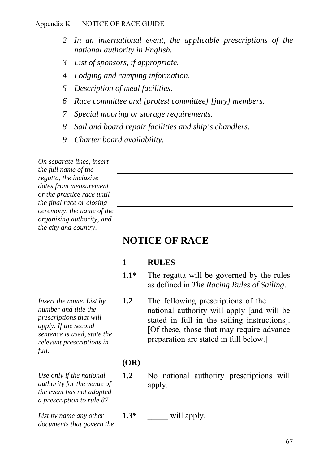#### Appendix K NOTICE OF RACE GUIDE

- *2 In an international event, the applicable prescriptions of the national authority in English.*
- *3 List of sponsors, if appropriate.*
- *4 Lodging and camping information.*
- *5 Description of meal facilities.*
- *6 Race committee and [protest committee] [jury] members.*
- *7 Special mooring or storage requirements.*
- *8 Sail and board repair facilities and ship's chandlers.*
- *9 Charter board availability.*

*On separate lines, insert the full name of the regatta, the inclusive dates from measurement or the practice race until the final race or closing ceremony, the name of the organizing authority, and the city and country.* 

*Insert the name. List by number and title the prescriptions that will* 

*full.* 

## **NOTICE OF RACE**

#### **1 RULES**

- **1.1\*** The regatta will be governed by the rules as defined in *The Racing Rules of Sailing*.
- **1.2** The following prescriptions of the national authority will apply [and will be stated in full in the sailing instructions]. [Of these, those that may require advance preparation are stated in full below.]

#### **(OR)**

 **1.2** No national authority prescriptions will apply.

*List by name any other documents that govern the* 

*Use only if the national authority for the venue of the event has not adopted a prescription to rule 87.* 

**1.3\***  $\qquad$  will apply.

*apply. If the second sentence is used, state the relevant prescriptions in* 

#### 67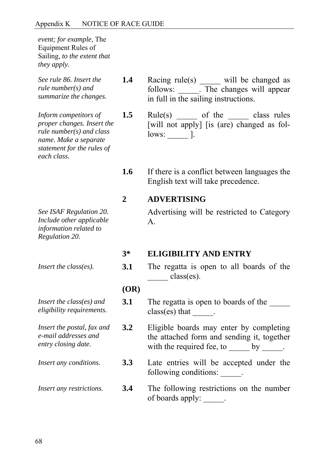*event; for example,* The Equipment Rules of Sailing*, to the extent that they apply.* 

*See rule 86. Insert the rule number(s) and summarize the changes.* 

*Inform competitors of proper changes. Insert the rule number(s) and class name. Make a separate statement for the rules of each class.* 

- *See ISAF Regulation 20. Include other applicable information related to Regulation 20.*
- 
- *Insert the class(es) and eligibility requirements.*
- *Insert the postal, fax and e-mail addresses and entry closing date.*

1.4 Racing rule(s) \_\_\_\_\_ will be changed as follows: \_\_\_\_\_. The changes will appear in full in the sailing instructions.

**1.5** Rule(s) of the class rules [will not apply] [is (are) changed as follows: \_\_\_\_\_ ].

 **1.6** If there is a conflict between languages the English text will take precedence.

## **2 ADVERTISING**

Advertising will be restricted to Category A.

#### **3\* ELIGIBILITY AND ENTRY**

*Insert the class(es).* **3.1** The regatta is open to all boards of the \_\_\_\_\_ class(es).

#### **(OR)**

- **3.1** The regatta is open to boards of the class(es) that  $\qquad$ .
- **3.2** Eligible boards may enter by completing the attached form and sending it, together with the required fee, to  $\qquad \qquad$  by  $\qquad \qquad$ .
- *Insert any conditions.* **3.3** Late entries will be accepted under the following conditions:
- *Insert any restrictions.* **3.4** The following restrictions on the number of boards apply: \_\_\_\_\_.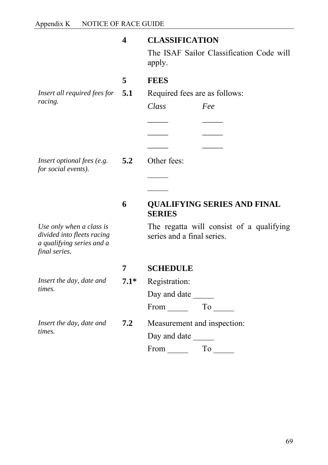|                                                                                                      | 4      | <b>CLASSIFICATION</b><br>The ISAF Sailor Classification Code will      |
|------------------------------------------------------------------------------------------------------|--------|------------------------------------------------------------------------|
|                                                                                                      |        | apply.                                                                 |
|                                                                                                      | 5      | <b>FEES</b>                                                            |
| <i>Insert all required fees for</i> $5.1$                                                            |        | Required fees are as follows:                                          |
| racing.                                                                                              |        | Class<br>Fee                                                           |
|                                                                                                      |        |                                                                        |
|                                                                                                      |        |                                                                        |
|                                                                                                      |        |                                                                        |
| Insert optional fees (e.g.<br>for social events).                                                    | 5.2    | Other fees:                                                            |
|                                                                                                      |        |                                                                        |
|                                                                                                      |        |                                                                        |
|                                                                                                      | 6      | <b>QUALIFYING SERIES AND FINAL</b><br><b>SERIES</b>                    |
| Use only when a class is<br>divided into fleets racing<br>a qualifying series and a<br>final series. |        | The regatta will consist of a qualifying<br>series and a final series. |
|                                                                                                      | 7      | <b>SCHEDULE</b>                                                        |
| Insert the day, date and<br>times.                                                                   | $7.1*$ | Registration:                                                          |
|                                                                                                      |        | Day and date ______                                                    |
|                                                                                                      |        | From To ______                                                         |
| Insert the day, date and<br>times.                                                                   | 7.2    | Measurement and inspection:                                            |
|                                                                                                      |        | Day and date                                                           |
|                                                                                                      |        | From Theorem<br>To                                                     |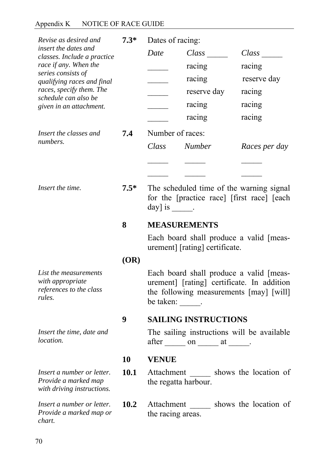# Appendix K NOTICE OF RACE GUIDE

| Revise as desired and                                                            | $7.3*$ | Dates of racing:                                                                                                                                                                                        |                             |                                          |
|----------------------------------------------------------------------------------|--------|---------------------------------------------------------------------------------------------------------------------------------------------------------------------------------------------------------|-----------------------------|------------------------------------------|
| insert the dates and<br>classes. Include a practice                              |        | Date                                                                                                                                                                                                    | Class                       | Class                                    |
| race if any. When the                                                            |        |                                                                                                                                                                                                         | racing                      | racing                                   |
| series consists of<br>qualifying races and final                                 |        |                                                                                                                                                                                                         | racing                      | reserve day                              |
| races, specify them. The<br>schedule can also be                                 |        |                                                                                                                                                                                                         | reserve day                 | racing                                   |
| given in an attachment.                                                          |        |                                                                                                                                                                                                         | racing                      | racing                                   |
|                                                                                  |        |                                                                                                                                                                                                         | racing                      | racing                                   |
| Insert the classes and                                                           | 7.4    | Number of races:                                                                                                                                                                                        |                             |                                          |
| numbers.                                                                         |        | Class                                                                                                                                                                                                   | <b>Number</b>               | Races per day                            |
|                                                                                  |        |                                                                                                                                                                                                         |                             |                                          |
|                                                                                  |        |                                                                                                                                                                                                         |                             |                                          |
| Insert the time.                                                                 | $7.5*$ | The scheduled time of the warning signal<br>for the [practice race] [first race] [each<br>$day]$ is<br><b>MEASUREMENTS</b><br>Each board shall produce a valid [meas-<br>urement] [rating] certificate. |                             |                                          |
|                                                                                  | 8      |                                                                                                                                                                                                         |                             |                                          |
|                                                                                  |        |                                                                                                                                                                                                         |                             |                                          |
|                                                                                  | (OR)   |                                                                                                                                                                                                         |                             |                                          |
| List the measurements<br>with appropriate<br>references to the class<br>rules.   |        | Each board shall produce a valid [meas-<br>urement] [rating] certificate. In addition<br>the following measurements [may] [will]<br>be taken:                                                           |                             |                                          |
|                                                                                  | 9      |                                                                                                                                                                                                         | <b>SAILING INSTRUCTIONS</b> |                                          |
| Insert the time, date and<br><i>location.</i>                                    |        | The sailing instructions will be available<br>$after \_\_ on \_\_ at \_\_ .$                                                                                                                            |                             |                                          |
|                                                                                  | 10     | <b>VENUE</b>                                                                                                                                                                                            |                             |                                          |
| Insert a number or letter.<br>Provide a marked map<br>with driving instructions. | 10.1   | the regatta harbour.                                                                                                                                                                                    |                             | Attachment shows the location of         |
| Insert a number or letter.<br>Provide a marked map or<br>chart.                  | 10.2   | the racing areas.                                                                                                                                                                                       |                             | Attachment _______ shows the location of |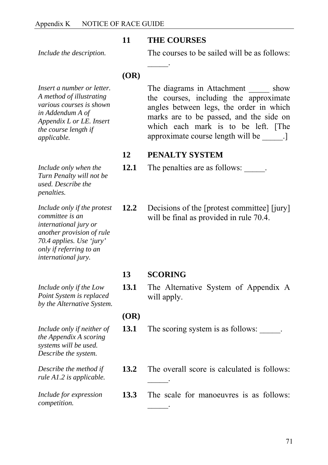#### **11 THE COURSES**

 $\frac{1}{2}$ 

*Include the description.* 

The courses to be sailed will be as follows:

### **(OR)**

*Insert a number or letter. A method of illustrating various courses is shown in Addendum A of Appendix L or LE. Insert the course length if applicable.*

*Include only when the Turn Penalty will not be used. Describe the penalties.* 

*Include only if the protest committee is an international jury or another provision of rule 70.4 applies. Use 'jury' only if referring to an international jury.* 

*Include only if the Low Point System is replaced by the Alternative System.* 

*Include only if neither of the Appendix A scoring systems will be used. Describe the system.* 

*Describe the method if rule A1.2 is applicable.* 

*Include for expression competition.* 

The diagrams in Attachment \_\_\_\_\_\_ show the courses, including the approximate angles between legs, the order in which marks are to be passed, and the side on which each mark is to be left. [The approximate course length will be  $\qquad$ .]

# **12 PENALTY SYSTEM**

**12.1** The penalties are as follows:

**12.2** Decisions of the [protest committee] [jury] will be final as provided in rule 70.4.

# **13 SCORING**

 $\frac{1}{2}$ 

13.1 The Alternative System of Appendix A will apply.

### **(OR)**

- **13.1** The scoring system is as follows:
- **13.2** The overall score is calculated is follows:  $\frac{1}{2}$
- **13.3** The scale for manoeuvres is as follows: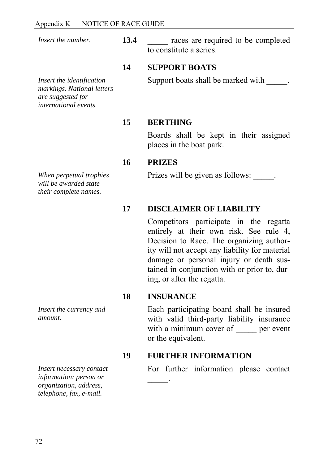*Insert the number.* **13.4 \_\_\_\_** races are required to be completed to constitute a series.

#### **14 SUPPORT BOATS**

*Insert the identification markings. National letters are suggested for international events.*

Support boats shall be marked with  $\qquad$ .

#### **15 BERTHING**

Boards shall be kept in their assigned places in the boat park.

#### **16 PRIZES**

Prizes will be given as follows:

#### **17 DISCLAIMER OF LIABILITY**

Competitors participate in the regatta entirely at their own risk. See rule 4, Decision to Race. The organizing authority will not accept any liability for material damage or personal injury or death sustained in conjunction with or prior to, during, or after the regatta.

#### **18 INSURANCE**

 $\frac{1}{2}$ 

Each participating board shall be insured with valid third-party liability insurance with a minimum cover of <u>equipmenent</u> or the equivalent.

#### **19 FURTHER INFORMATION**

For further information please contact

*When perpetual trophies will be awarded state their complete names.* 

*Insert the currency and amount.* 

*Insert necessary contact information: person or organization, address, telephone, fax, e-mail.*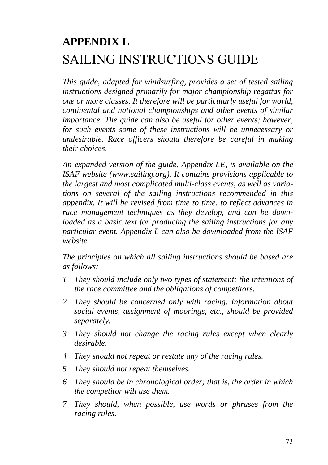# **APPENDIX L**  SAILING INSTRUCTIONS GUIDE

*This guide, adapted for windsurfing, provides a set of tested sailing instructions designed primarily for major championship regattas for one or more classes. It therefore will be particularly useful for world, continental and national championships and other events of similar importance. The guide can also be useful for other events; however, for such events some of these instructions will be unnecessary or undesirable. Race officers should therefore be careful in making their choices.* 

*An expanded version of the guide, Appendix LE, is available on the ISAF website (www.sailing.org). It contains provisions applicable to the largest and most complicated multi-class events, as well as variations on several of the sailing instructions recommended in this appendix. It will be revised from time to time, to reflect advances in race management techniques as they develop, and can be downloaded as a basic text for producing the sailing instructions for any particular event. Appendix L can also be downloaded from the ISAF website.*

*The principles on which all sailing instructions should be based are as follows:* 

- *1 They should include only two types of statement: the intentions of the race committee and the obligations of competitors.*
- *2 They should be concerned only with racing. Information about social events, assignment of moorings, etc., should be provided separately.*
- *3 They should not change the racing rules except when clearly desirable.*
- *4 They should not repeat or restate any of the racing rules.*
- *5 They should not repeat themselves.*
- *6 They should be in chronological order; that is, the order in which the competitor will use them.*
- *7 They should, when possible, use words or phrases from the racing rules.*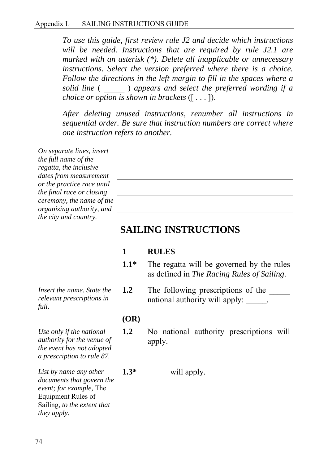*To use this guide, first review rule J2 and decide which instructions*  will be needed. Instructions that are required by rule J2.1 are *marked with an asterisk (\*)*. *Delete all inapplicable or unnecessary instructions. Select the version preferred where there is a choice. Follow the directions in the left margin to fill in the spaces where a solid line* ( \_\_\_\_\_ ) *appears and select the preferred wording if a choice or option is shown in brackets* ([ . . . ]).

*After deleting unused instructions, renumber all instructions in sequential order. Be sure that instruction numbers are correct where one instruction refers to another.* 

| On separate lines, insert  |  |
|----------------------------|--|
| the full name of the       |  |
| regatta, the inclusive     |  |
| dates from measurement     |  |
| or the practice race until |  |
| the final race or closing  |  |
| ceremony, the name of the  |  |
| organizing authority, and  |  |
| the city and country.      |  |

# **SAILING INSTRUCTIONS**

#### **1 RULES**

- **1.1\*** The regatta will be governed by the rules as defined in *The Racing Rules of Sailing*.
- **1.2** The following prescriptions of the national authority will apply:

#### **(OR)**

- **1.2** No national authority prescriptions will apply.
- 1.3\*  $\qquad \qquad$  will apply.

*Insert the name. State the relevant prescriptions in full.* 

*Use only if the national authority for the venue of the event has not adopted a prescription to rule 87.* 

*List by name any other documents that govern the event; for example,* The Equipment Rules of Sailing*, to the extent that they apply.*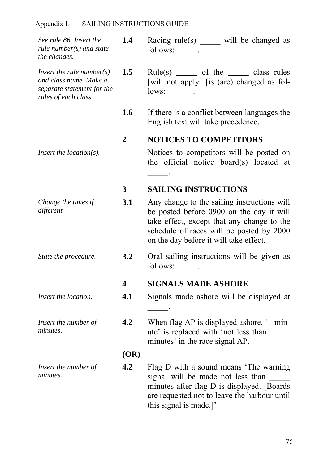# Appendix L SAILING INSTRUCTIONS GUIDE

| See rule 86. Insert the<br>rule number( $s$ ) and state<br>the changes.                                          | 1.4                     | Racing rule(s) will be changed as<br>follows: .                                                                                                                                                                             |
|------------------------------------------------------------------------------------------------------------------|-------------------------|-----------------------------------------------------------------------------------------------------------------------------------------------------------------------------------------------------------------------------|
| <i>Insert the rule number(s)</i><br>and class name. Make a<br>separate statement for the<br>rules of each class. | 1.5                     | $Rule(s)$ _______ of the ________ class rules<br>[will not apply] [is (are) changed as fol-<br>$lows:$ $\qquad$ $\qquad$ $\qquad$                                                                                           |
|                                                                                                                  | 1.6                     | If there is a conflict between languages the<br>English text will take precedence.                                                                                                                                          |
|                                                                                                                  | $\overline{2}$          | <b>NOTICES TO COMPETITORS</b>                                                                                                                                                                                               |
| <i>Insert the location(s).</i>                                                                                   |                         | Notices to competitors will be posted on<br>the official notice board(s) located at                                                                                                                                         |
|                                                                                                                  | $\overline{\mathbf{3}}$ | <b>SAILING INSTRUCTIONS</b>                                                                                                                                                                                                 |
| Change the times if<br>different.                                                                                | 3.1                     | Any change to the sailing instructions will<br>be posted before 0900 on the day it will<br>take effect, except that any change to the<br>schedule of races will be posted by 2000<br>on the day before it will take effect. |
| State the procedure.                                                                                             | 3.2                     | Oral sailing instructions will be given as<br>follows: .                                                                                                                                                                    |
|                                                                                                                  | 4                       | <b>SIGNALS MADE ASHORE</b>                                                                                                                                                                                                  |
| Insert the location.                                                                                             | 4.1                     | Signals made ashore will be displayed at                                                                                                                                                                                    |
| Insert the number of<br>minutes.                                                                                 | 4.2                     | When flag AP is displayed ashore, '1 min-<br>ute' is replaced with 'not less than<br>minutes' in the race signal AP.                                                                                                        |
|                                                                                                                  | (OR)                    |                                                                                                                                                                                                                             |
| Insert the number of<br>minutes.                                                                                 | 4.2                     | Flag D with a sound means 'The warning<br>signal will be made not less than<br>minutes after flag D is displayed. [Boards]<br>are requested not to leave the harbour until<br>this signal is made.]'                        |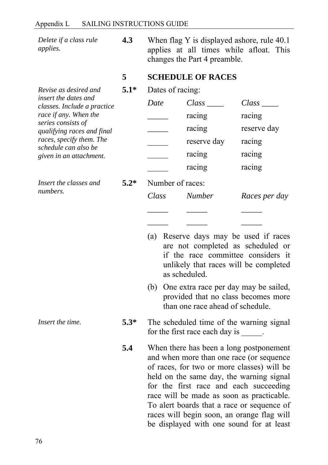*Delete if a class rule applies.* 

*Revise as desired and* 

**4.3** When flag Y is displayed ashore, rule 40.1 applies at all times while afloat. This changes the Part 4 preamble.

- **5 SCHEDULE OF RACES**
- **5.1\*** Dates of racing:

| insert the dates and                                 | Date | Class       | Class       |
|------------------------------------------------------|------|-------------|-------------|
| classes. Include a practice<br>race if any. When the |      | racing      | racing      |
| series consists of<br>qualifying races and final     |      | racing      | reserve day |
| races, specify them. The<br>schedule can also be     |      | reserve day | racing      |
| given in an attachment.                              |      | racing      | racing      |
|                                                      |      | racing      | racing      |

*Insert the classes and* 

**5.2\*** Number of races:

*Class Number Races per day \_\_\_\_\_ \_\_\_\_\_ \_\_\_\_\_* 

*\_\_\_\_\_ \_\_\_\_\_ \_\_\_\_\_* 

- (a) Reserve days may be used if races are not completed as scheduled or if the race committee considers it unlikely that races will be completed as scheduled.
- (b) One extra race per day may be sailed, provided that no class becomes more than one race ahead of schedule.
- *Insert the time.* **5.3\*** The scheduled time of the warning signal for the first race each day is  $\qquad \qquad$ .
	- **5.4** When there has been a long postponement and when more than one race (or sequence of races, for two or more classes) will be held on the same day, the warning signal for the first race and each succeeding race will be made as soon as practicable. To alert boards that a race or sequence of races will begin soon, an orange flag will be displayed with one sound for at least

*numbers.*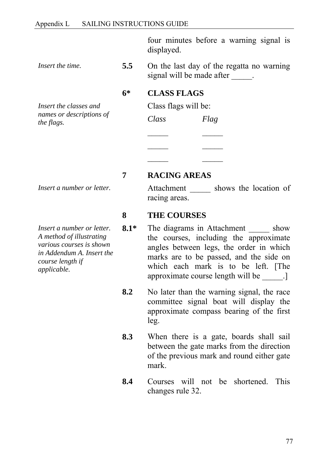four minutes before a warning signal is displayed.

*Insert the classes and names or descriptions of the flags.* 

*Insert a number or letter.* 

*Insert a number or letter. A method of illustrating various courses is shown in Addendum A. Insert the course length if applicable.* 

*Insert the time.* **5.5** On the last day of the regatta no warning signal will be made after  $\qquad$ .

#### **6\* CLASS FLAGS**

Class flags will be:

| Class | Flag |
|-------|------|
|       |      |
|       |      |
|       |      |

 **7 RACING AREAS** 

Attachment \_\_\_\_\_\_ shows the location of racing areas.

#### **8 THE COURSES**

- **8.1\*** The diagrams in Attachment show the courses, including the approximate angles between legs, the order in which marks are to be passed, and the side on which each mark is to be left. [The approximate course length will be \_\_\_\_\_.]
- **8.2** No later than the warning signal, the race committee signal boat will display the approximate compass bearing of the first leg.
- **8.3** When there is a gate, boards shall sail between the gate marks from the direction of the previous mark and round either gate mark.
- **8.4** Courses will not be shortened. This changes rule 32.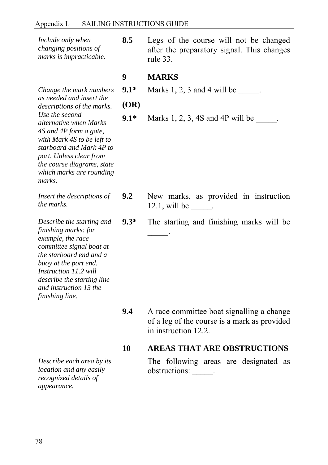| Include only when<br>changing positions of<br>marks is impracticable.                                                                                                                                                                                                                                                          | 8.5                           | Legs of the course will not be changed<br>after the preparatory signal. This changes<br>rule 33.                  |  |
|--------------------------------------------------------------------------------------------------------------------------------------------------------------------------------------------------------------------------------------------------------------------------------------------------------------------------------|-------------------------------|-------------------------------------------------------------------------------------------------------------------|--|
| Change the mark numbers<br>as needed and insert the<br><i>descriptions of the marks.</i><br>Use the second<br><i>alternative when Marks</i><br>4S and 4P form a gate,<br>with Mark 4S to be left to<br>starboard and Mark 4P to<br>port. Unless clear from<br>the course diagrams, state<br>which marks are rounding<br>marks. | 9<br>$9.1*$<br>(OR)<br>$9.1*$ | <b>MARKS</b><br>Marks $1, 2, 3$ and $4$ will be<br>Marks $1, 2, 3, 4S$ and $4P$ will be $\qquad \qquad$ .         |  |
| Insert the descriptions of<br>the marks.                                                                                                                                                                                                                                                                                       | 9.2                           | New marks, as provided in instruction<br>$12.1$ , will be ______.                                                 |  |
| Describe the starting and<br>finishing marks: for<br>example, the race<br>committee signal boat at<br>the starboard end and a<br>buoy at the port end.<br>Instruction 11.2 will<br><i>describe the starting line</i><br>and instruction 13 the<br>finishing line.                                                              | $9.3*$                        | The starting and finishing marks will be                                                                          |  |
|                                                                                                                                                                                                                                                                                                                                | 9.4                           | A race committee boat signalling a change<br>of a leg of the course is a mark as provided<br>in instruction 12.2. |  |
|                                                                                                                                                                                                                                                                                                                                | 10                            | <b>AREAS THAT ARE OBSTRUCTIONS</b>                                                                                |  |

*Describe each area by its location and any easily recognized details of appearance.* 

The following areas are designated as obstructions: \_\_\_\_\_.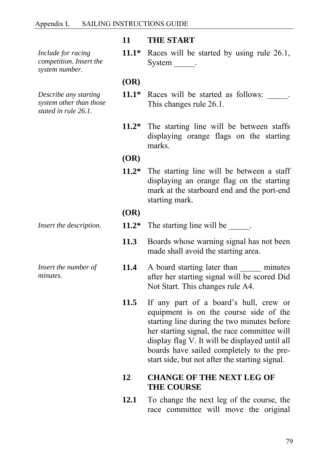*Include for racing competition. Insert the system number.* 

*Describe any starting system other than those stated in rule 26.1.* 

*Insert the number of minutes.* 

#### **11 THE START**

 **11.1\*** Races will be started by using rule 26.1, System  $\qquad$ .

 **(OR)** 

- 11.1\* Races will be started as follows: \_\_\_\_\_. This changes rule 26.1.
- **11.2\*** The starting line will be between staffs displaying orange flags on the starting marks.

#### **(OR)**

 **11.2\*** The starting line will be between a staff displaying an orange flag on the starting mark at the starboard end and the port-end starting mark.

#### **(OR)**

- *Insert the description.* **11.2\*** The starting line will be
	- 11.3 Boards whose warning signal has not been made shall avoid the starting area.
	- 11.4 A board starting later than <u>seeman asseminates</u> after her starting signal will be scored Did Not Start. This changes rule A4.
	- **11.5** If any part of a board's hull, crew or equipment is on the course side of the starting line during the two minutes before her starting signal, the race committee will display flag V. It will be displayed until all boards have sailed completely to the prestart side, but not after the starting signal.

#### **12 CHANGE OF THE NEXT LEG OF THE COURSE**

 **12.1** To change the next leg of the course, the race committee will move the original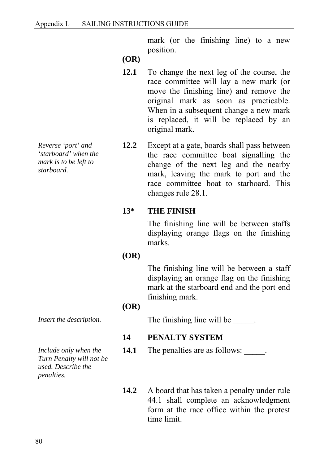mark (or the finishing line) to a new position.

 **(OR)** 

- **12.1** To change the next leg of the course, the race committee will lay a new mark (or move the finishing line) and remove the original mark as soon as practicable. When in a subsequent change a new mark is replaced, it will be replaced by an original mark.
- **12.2** Except at a gate, boards shall pass between the race committee boat signalling the change of the next leg and the nearby mark, leaving the mark to port and the race committee boat to starboard. This changes rule 28.1.

#### **13\* THE FINISH**

The finishing line will be between staffs displaying orange flags on the finishing marks.

#### **(OR)**

The finishing line will be between a staff displaying an orange flag on the finishing mark at the starboard end and the port-end finishing mark.

#### **(OR)**

*Insert the description.* The finishing line will be

### **14 PENALTY SYSTEM**

**14.1** The penalties are as follows:

14.2 A board that has taken a penalty under rule 44.1 shall complete an acknowledgment form at the race office within the protest time limit.

*Reverse 'port' and 'starboard' when the mark is to be left to starboard.* 

*Include only when the Turn Penalty will not be used. Describe the penalties.*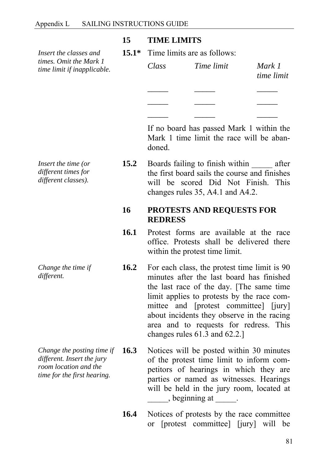#### **15 TIME LIMITS**

 **15.1\*** Time limits are as follows:

| Class | Time limit | Mark 1<br>time limit |
|-------|------------|----------------------|
|       |            |                      |
|       |            |                      |
|       |            |                      |

If no board has passed Mark 1 within the Mark 1 time limit the race will be abandoned.

**15.2** Boards failing to finish within after the first board sails the course and finishes will be scored Did Not Finish. This changes rules 35, A4.1 and A4.2.

#### **16 PROTESTS AND REQUESTS FOR REDRESS**

- **16.1** Protest forms are available at the race office. Protests shall be delivered there within the protest time limit.
- **16.2** For each class, the protest time limit is 90 minutes after the last board has finished the last race of the day. [The same time limit applies to protests by the race committee and [protest committee] [jury] about incidents they observe in the racing area and to requests for redress. This changes rules 61.3 and 62.2.]

16.3 Notices will be posted within 30 minutes of the protest time limit to inform competitors of hearings in which they are parties or named as witnesses. Hearings will be held in the jury room, located at  $\lambda$ , beginning at  $\lambda$ .

> 16.4 Notices of protests by the race committee or [protest committee] [jury] will be

*Insert the time (or different times for different classes).* 

*Insert the classes and times. Omit the Mark 1 time limit if inapplicable.* 

*Change the time if different.* 

*Change the posting time if different. Insert the jury room location and the time for the first hearing.*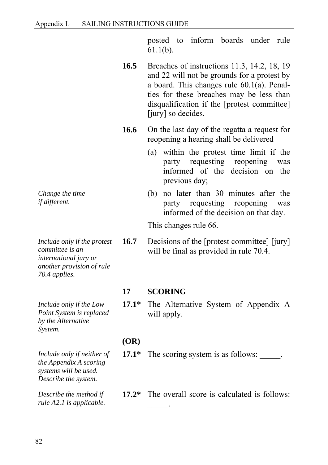posted to inform boards under rule 61.1(b).

- **16.5** Breaches of instructions 11.3, 14.2, 18, 19 and 22 will not be grounds for a protest by a board. This changes rule 60.1(a). Penalties for these breaches may be less than disqualification if the [protest committee] [jury] so decides.
- **16.6** On the last day of the regatta a request for reopening a hearing shall be delivered
	- (a) within the protest time limit if the party requesting reopening was informed of the decision on the previous day;
	- (b) no later than 30 minutes after the party requesting reopening was informed of the decision on that day.

This changes rule 66.

**16.7** Decisions of the [protest committee] [jury] will be final as provided in rule 70.4.

#### **17 SCORING**

 $\frac{1}{2}$ 

 **17.1\*** The Alternative System of Appendix A will apply.

#### **(OR)**

- **17.1\*** The scoring system is as follows:
- **17.2\*** The overall score is calculated is follows:

*Change the time if different.* 

*Include only if the protest committee is an international jury or another provision of rule 70.4 applies.* 

*Include only if the Low Point System is replaced by the Alternative System.* 

*Include only if neither of the Appendix A scoring systems will be used. Describe the system.* 

*Describe the method if rule A2.1 is applicable.*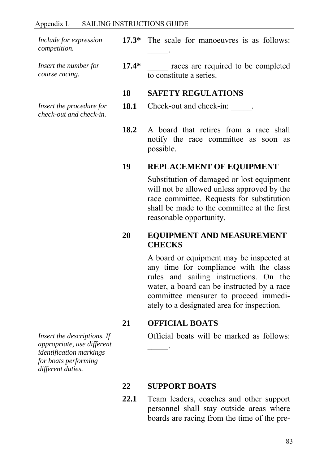*Include for expression competition.* 

*Insert the number for course racing.* 

*Insert the procedure for check-out and check-in.* 

 **17.3\*** The scale for manoeuvres is as follows:  $\frac{1}{2}$ 

**17.4\*** races are required to be completed to constitute a series.

#### **18 SAFETY REGULATIONS**

- **18.1** Check-out and check-in:
- **18.2** A board that retires from a race shall notify the race committee as soon as possible.

#### **19 REPLACEMENT OF EQUIPMENT**

Substitution of damaged or lost equipment will not be allowed unless approved by the race committee. Requests for substitution shall be made to the committee at the first reasonable opportunity.

#### **20 EQUIPMENT AND MEASUREMENT CHECKS**

A board or equipment may be inspected at any time for compliance with the class rules and sailing instructions. On the water, a board can be instructed by a race committee measurer to proceed immediately to a designated area for inspection.

#### **21 OFFICIAL BOATS**

 $\frac{1}{2}$ 

Official boats will be marked as follows:

*Insert the descriptions. If appropriate, use different identification markings for boats performing different duties.* 

#### **22 SUPPORT BOATS**

 **22.1** Team leaders, coaches and other support personnel shall stay outside areas where boards are racing from the time of the pre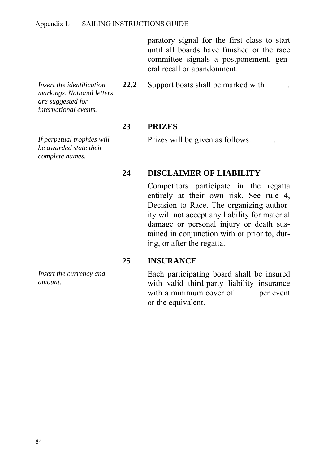paratory signal for the first class to start until all boards have finished or the race committee signals a postponement, general recall or abandonment.

*Insert the identification markings. National letters are suggested for international events.* 

*If perpetual trophies will be awarded state their complete names.* 

**23 PRIZES** 

Prizes will be given as follows:

**22.2** Support boats shall be marked with  $\qquad$ .

#### **24 DISCLAIMER OF LIABILITY**

Competitors participate in the regatta entirely at their own risk. See rule 4, Decision to Race. The organizing authority will not accept any liability for material damage or personal injury or death sustained in conjunction with or prior to, during, or after the regatta.

#### **25 INSURANCE**

Each participating board shall be insured with valid third-party liability insurance with a minimum cover of <u>equilibration</u> per event or the equivalent.

*Insert the currency and amount.*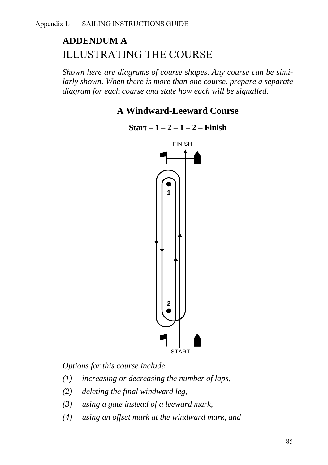# **ADDENDUM A**  ILLUSTRATING THE COURSE

*Shown here are diagrams of course shapes. Any course can be similarly shown. When there is more than one course, prepare a separate diagram for each course and state how each will be signalled.*

# **A Windward-Leeward Course**

**Start – 1 – 2 – 1 – 2 – Finish** 



*Options for this course include* 

- *(1) increasing or decreasing the number of laps,*
- *(2) deleting the final windward leg,*
- *(3) using a gate instead of a leeward mark,*
- *(4) using an offset mark at the windward mark, and*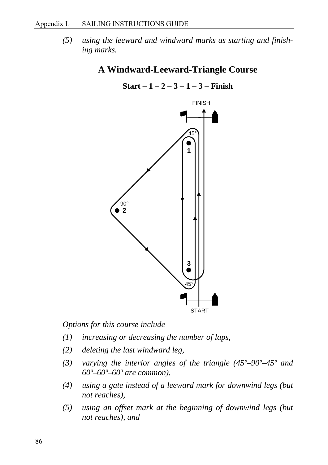*(5) using the leeward and windward marks as starting and finishing marks.* 

### **A Windward-Leeward-Triangle Course**



**Start – 1 – 2 – 3 – 1 – 3 – Finish** 

*Options for this course include* 

- *(1) increasing or decreasing the number of laps,*
- *(2) deleting the last windward leg,*
- *(3) varying the interior angles of the triangle (45º–90º–45º and 60º–60º–60º are common),*
- *(4) using a gate instead of a leeward mark for downwind legs (but not reaches),*
- *(5) using an offset mark at the beginning of downwind legs (but not reaches), and*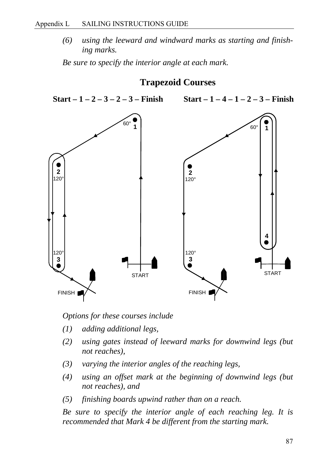#### Appendix L SAILING INSTRUCTIONS GUIDE

*(6) using the leeward and windward marks as starting and finishing marks.* 

*Be sure to specify the interior angle at each mark.* 





*Options for these courses include* 

- *(1) adding additional legs,*
- *(2) using gates instead of leeward marks for downwind legs (but not reaches),*
- *(3) varying the interior angles of the reaching legs,*
- *(4) using an offset mark at the beginning of downwind legs (but not reaches), and*
- *(5) finishing boards upwind rather than on a reach.*

*Be sure to specify the interior angle of each reaching leg. It is recommended that Mark 4 be different from the starting mark.*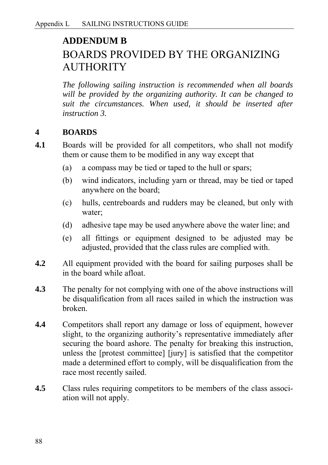# **ADDENDUM B**  BOARDS PROVIDED BY THE ORGANIZING **AUTHORITY**

*The following sailing instruction is recommended when all boards will be provided by the organizing authority. It can be changed to suit the circumstances. When used, it should be inserted after instruction 3.*

### **4 BOARDS**

- **4.1** Boards will be provided for all competitors, who shall not modify them or cause them to be modified in any way except that
	- (a) a compass may be tied or taped to the hull or spars;
	- (b) wind indicators, including yarn or thread, may be tied or taped anywhere on the board;
	- (c) hulls, centreboards and rudders may be cleaned, but only with water;
	- (d) adhesive tape may be used anywhere above the water line; and
	- (e) all fittings or equipment designed to be adjusted may be adjusted, provided that the class rules are complied with.
- **4.2** All equipment provided with the board for sailing purposes shall be in the board while afloat.
- **4.3** The penalty for not complying with one of the above instructions will be disqualification from all races sailed in which the instruction was broken.
- **4.4** Competitors shall report any damage or loss of equipment, however slight, to the organizing authority's representative immediately after securing the board ashore. The penalty for breaking this instruction, unless the [protest committee] [jury] is satisfied that the competitor made a determined effort to comply, will be disqualification from the race most recently sailed.
- **4.5** Class rules requiring competitors to be members of the class association will not apply.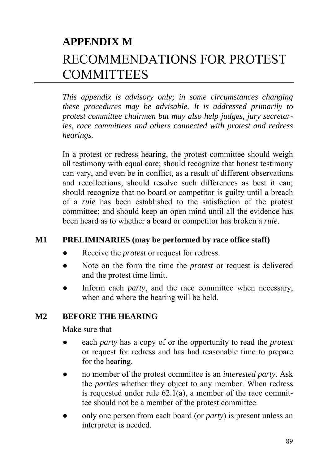# **APPENDIX M**  RECOMMENDATIONS FOR PROTEST **COMMITTEES**

*This appendix is advisory only; in some circumstances changing these procedures may be advisable. It is addressed primarily to protest committee chairmen but may also help judges, jury secretaries, race committees and others connected with protest and redress hearings.*

In a protest or redress hearing, the protest committee should weigh all testimony with equal care; should recognize that honest testimony can vary, and even be in conflict, as a result of different observations and recollections; should resolve such differences as best it can; should recognize that no board or competitor is guilty until a breach of a *rule* has been established to the satisfaction of the protest committee; and should keep an open mind until all the evidence has been heard as to whether a board or competitor has broken a *rule*.

### **M1 PRELIMINARIES (may be performed by race office staff)**

- Receive the *protest* or request for redress.
- Note on the form the time the *protest* or request is delivered and the protest time limit.
- Inform each *party*, and the race committee when necessary, when and where the hearing will be held.

### **M2 BEFORE THE HEARING**

Make sure that

- each *party* has a copy of or the opportunity to read the *protest* or request for redress and has had reasonable time to prepare for the hearing.
- no member of the protest committee is an *interested party*. Ask the *parties* whether they object to any member. When redress is requested under rule  $62.1(a)$ , a member of the race committee should not be a member of the protest committee.
- only one person from each board (or *party*) is present unless an interpreter is needed.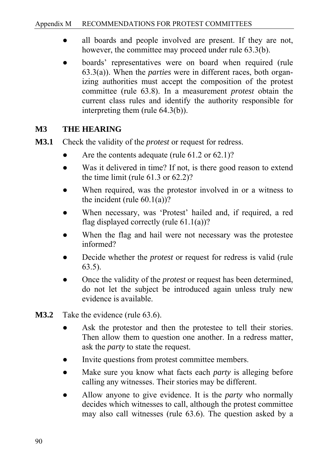- all boards and people involved are present. If they are not, however, the committee may proceed under rule 63.3(b).
- boards' representatives were on board when required (rule 63.3(a)). When the *parties* were in different races, both organizing authorities must accept the composition of the protest committee (rule 63.8). In a measurement *protest* obtain the current class rules and identify the authority responsible for interpreting them (rule 64.3(b)).

# **M3 THE HEARING**

- **M3.1** Check the validity of the *protest* or request for redress.
	- Are the contents adequate (rule  $61.2$  or  $62.1$ )?
	- Was it delivered in time? If not, is there good reason to extend the time limit (rule 61.3 or 62.2)?
	- When required, was the protestor involved in or a witness to the incident (rule  $60.1(a)$ )?
	- When necessary, was 'Protest' hailed and, if required, a red flag displayed correctly (rule  $61.1(a)$ )?
	- When the flag and hail were not necessary was the protestee informed?
	- Decide whether the *protest* or request for redress is valid (rule 63.5).
	- Once the validity of the *protest* or request has been determined, do not let the subject be introduced again unless truly new evidence is available.
- **M3.2** Take the evidence (rule 63.6).
	- Ask the protestor and then the protestee to tell their stories. Then allow them to question one another. In a redress matter, ask the *party* to state the request.
	- Invite questions from protest committee members.
	- Make sure you know what facts each *party* is alleging before calling any witnesses. Their stories may be different.
	- Allow anyone to give evidence. It is the *party* who normally decides which witnesses to call, although the protest committee may also call witnesses (rule 63.6). The question asked by a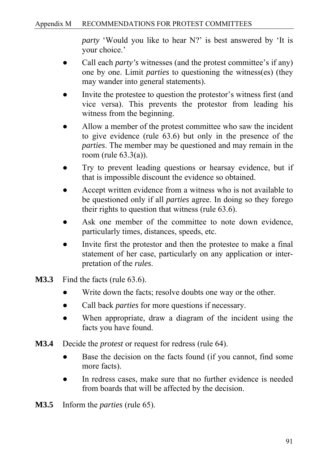*party* 'Would you like to hear N?' is best answered by 'It is your choice.'

- Call each *party's* witnesses (and the protest committee's if any) one by one. Limit *parties* to questioning the witness(es) (they may wander into general statements).
- Invite the protestee to question the protestor's witness first (and vice versa). This prevents the protestor from leading his witness from the beginning.
- Allow a member of the protest committee who saw the incident to give evidence (rule 63.6) but only in the presence of the *parties*. The member may be questioned and may remain in the room (rule 63.3(a)).
- Try to prevent leading questions or hearsay evidence, but if that is impossible discount the evidence so obtained.
- Accept written evidence from a witness who is not available to be questioned only if all *parties* agree. In doing so they forego their rights to question that witness (rule 63.6).
- Ask one member of the committee to note down evidence, particularly times, distances, speeds, etc.
- Invite first the protestor and then the protestee to make a final statement of her case, particularly on any application or interpretation of the *rules*.
- **M3.3** Find the facts (rule 63.6).
	- Write down the facts; resolve doubts one way or the other.
	- Call back *parties* for more questions if necessary.
	- When appropriate, draw a diagram of the incident using the facts you have found.
- **M3.4** Decide the *protest* or request for redress (rule 64).
	- Base the decision on the facts found (if you cannot, find some more facts).
	- In redress cases, make sure that no further evidence is needed from boards that will be affected by the decision.
- **M3.5** Inform the *parties* (rule 65).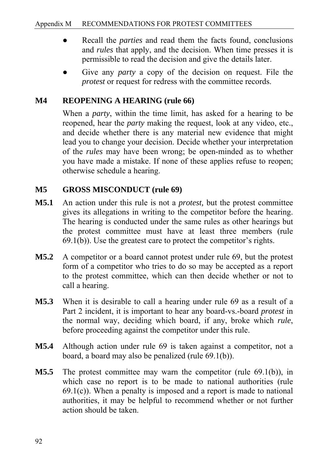- Recall the *parties* and read them the facts found, conclusions and *rules* that apply, and the decision. When time presses it is permissible to read the decision and give the details later.
- Give any *party* a copy of the decision on request. File the *protest* or request for redress with the committee records.

# **M4 REOPENING A HEARING (rule 66)**

When a *party*, within the time limit, has asked for a hearing to be reopened, hear the *party* making the request, look at any video, etc., and decide whether there is any material new evidence that might lead you to change your decision. Decide whether your interpretation of the *rules* may have been wrong; be open-minded as to whether you have made a mistake. If none of these applies refuse to reopen; otherwise schedule a hearing.

### **M5 GROSS MISCONDUCT (rule 69)**

- **M5.1** An action under this rule is not a *protest,* but the protest committee gives its allegations in writing to the competitor before the hearing. The hearing is conducted under the same rules as other hearings but the protest committee must have at least three members (rule 69.1(b)). Use the greatest care to protect the competitor's rights.
- **M5.2** A competitor or a board cannot protest under rule 69, but the protest form of a competitor who tries to do so may be accepted as a report to the protest committee, which can then decide whether or not to call a hearing.
- **M5.3** When it is desirable to call a hearing under rule 69 as a result of a Part 2 incident, it is important to hear any board-vs.-board *protest* in the normal way, deciding which board, if any, broke which *rule*, before proceeding against the competitor under this rule.
- **M5.4** Although action under rule 69 is taken against a competitor, not a board, a board may also be penalized (rule 69.1(b)).
- **M5.5** The protest committee may warn the competitor (rule 69.1(b)), in which case no report is to be made to national authorities (rule  $69.1(c)$ ). When a penalty is imposed and a report is made to national authorities, it may be helpful to recommend whether or not further action should be taken.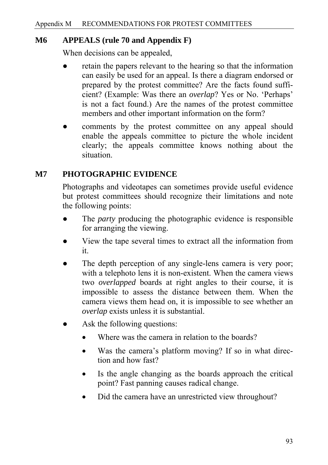### **M6 APPEALS (rule 70 and Appendix F)**

When decisions can be appealed,

- retain the papers relevant to the hearing so that the information can easily be used for an appeal. Is there a diagram endorsed or prepared by the protest committee? Are the facts found sufficient? (Example: Was there an *overlap*? Yes or No. 'Perhaps' is not a fact found.) Are the names of the protest committee members and other important information on the form?
- comments by the protest committee on any appeal should enable the appeals committee to picture the whole incident clearly; the appeals committee knows nothing about the situation.

# **M7 PHOTOGRAPHIC EVIDENCE**

Photographs and videotapes can sometimes provide useful evidence but protest committees should recognize their limitations and note the following points:

- The *party* producing the photographic evidence is responsible for arranging the viewing.
- View the tape several times to extract all the information from it.
- The depth perception of any single-lens camera is very poor; with a telephoto lens it is non-existent. When the camera views two *overlapped* boards at right angles to their course, it is impossible to assess the distance between them. When the camera views them head on, it is impossible to see whether an *overlap* exists unless it is substantial.
- Ask the following questions:
	- Where was the camera in relation to the boards?
	- Was the camera's platform moving? If so in what direction and how fast?
	- Is the angle changing as the boards approach the critical point? Fast panning causes radical change.
	- Did the camera have an unrestricted view throughout?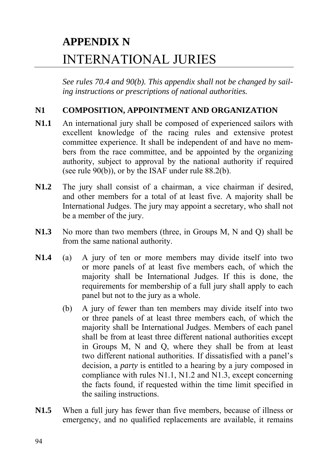# **APPENDIX N**  INTERNATIONAL JURIES

*See rules 70.4 and 90(b). This appendix shall not be changed by sailing instructions or prescriptions of national authorities.*

### **N1 COMPOSITION, APPOINTMENT AND ORGANIZATION**

- **N1.1** An international jury shall be composed of experienced sailors with excellent knowledge of the racing rules and extensive protest committee experience. It shall be independent of and have no members from the race committee, and be appointed by the organizing authority, subject to approval by the national authority if required (see rule 90(b)), or by the ISAF under rule 88.2(b).
- **N1.2** The jury shall consist of a chairman, a vice chairman if desired, and other members for a total of at least five. A majority shall be International Judges. The jury may appoint a secretary, who shall not be a member of the jury.
- **N1.3** No more than two members (three, in Groups M, N and Q) shall be from the same national authority.
- **N1.4** (a) A jury of ten or more members may divide itself into two or more panels of at least five members each, of which the majority shall be International Judges. If this is done, the requirements for membership of a full jury shall apply to each panel but not to the jury as a whole.
	- (b) A jury of fewer than ten members may divide itself into two or three panels of at least three members each, of which the majority shall be International Judges. Members of each panel shall be from at least three different national authorities except in Groups M, N and Q, where they shall be from at least two different national authorities. If dissatisfied with a panel's decision, a *party* is entitled to a hearing by a jury composed in compliance with rules N1.1, N1.2 and N1.3, except concerning the facts found, if requested within the time limit specified in the sailing instructions.
- **N1.5** When a full jury has fewer than five members, because of illness or emergency, and no qualified replacements are available, it remains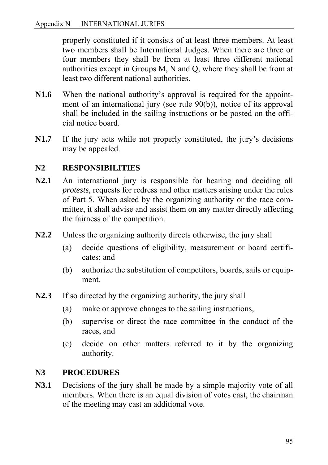properly constituted if it consists of at least three members. At least two members shall be International Judges. When there are three or four members they shall be from at least three different national authorities except in Groups M, N and Q, where they shall be from at least two different national authorities.

- **N1.6** When the national authority's approval is required for the appointment of an international jury (see rule 90(b)), notice of its approval shall be included in the sailing instructions or be posted on the official notice board.
- **N1.7** If the jury acts while not properly constituted, the jury's decisions may be appealed.

# **N2 RESPONSIBILITIES**

- **N2.1** An international jury is responsible for hearing and deciding all *protests*, requests for redress and other matters arising under the rules of Part 5. When asked by the organizing authority or the race committee, it shall advise and assist them on any matter directly affecting the fairness of the competition.
- **N2.2** Unless the organizing authority directs otherwise, the jury shall
	- (a) decide questions of eligibility, measurement or board certificates; and
	- (b) authorize the substitution of competitors, boards, sails or equipment.
- **N2.3** If so directed by the organizing authority, the jury shall
	- (a) make or approve changes to the sailing instructions,
	- (b) supervise or direct the race committee in the conduct of the races, and
	- (c) decide on other matters referred to it by the organizing authority.

### **N3 PROCEDURES**

**N3.1** Decisions of the jury shall be made by a simple majority vote of all members. When there is an equal division of votes cast, the chairman of the meeting may cast an additional vote.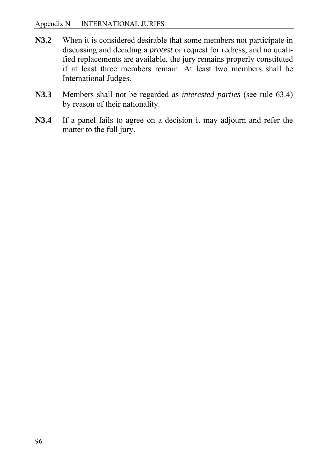- **N3.2** When it is considered desirable that some members not participate in discussing and deciding a *protest* or request for redress, and no qualified replacements are available, the jury remains properly constituted if at least three members remain. At least two members shall be International Judges.
- **N3.3** Members shall not be regarded as *interested parties* (see rule 63.4) by reason of their nationality.
- **N3.4** If a panel fails to agree on a decision it may adjourn and refer the matter to the full jury.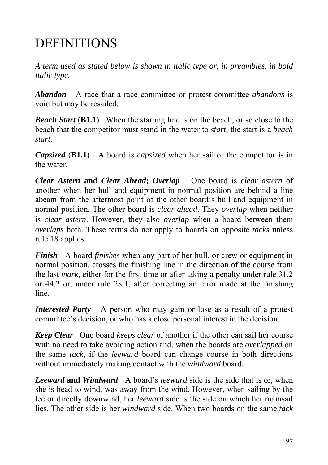# DEFINITIONS

*A term used as stated below is shown in italic type or, in preambles, in bold italic type.* 

*Abandon* A race that a race committee or protest committee *abandons* is void but may be resailed.

*Beach Start* (**B1.1**) When the starting line is on the beach, or so close to the beach that the competitor must stand in the water to *start*, the start is a *beach start*.

*Capsized* (**B1.1**) A board is *capsized* when her sail or the competitor is in the water.

*Clear Astern* **and** *Clear Ahead***;** *Overlap* One board is *clear astern* of another when her hull and equipment in normal position are behind a line abeam from the aftermost point of the other board's hull and equipment in normal position. The other board is *clear ahead*. They *overlap* when neither is *clear astern*. However, they also *overlap* when a board between them *overlaps* both. These terms do not apply to boards on opposite *tacks* unless rule 18 applies.

*Finish* A board *finishes* when any part of her hull, or crew or equipment in normal position, crosses the finishing line in the direction of the course from the last *mark*, either for the first time or after taking a penalty under rule 31.2 or 44.2 or, under rule 28.1, after correcting an error made at the finishing line.

*Interested Party* A person who may gain or lose as a result of a protest committee's decision, or who has a close personal interest in the decision.

*Keep Clear* One board *keeps clear* of another if the other can sail her course with no need to take avoiding action and, when the boards are *overlapped* on the same *tack*, if the *leeward* board can change course in both directions without immediately making contact with the *windward* board.

*Leeward* **and** *Windward* A board's *leeward* side is the side that is or, when she is head to wind, was away from the wind. However, when sailing by the lee or directly downwind, her *leeward* side is the side on which her mainsail lies. The other side is her *windward* side. When two boards on the same *tack*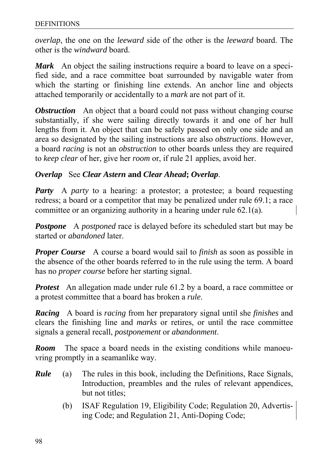*overlap*, the one on the *leeward* side of the other is the *leeward* board. The other is the *windward* board.

*Mark* An object the sailing instructions require a board to leave on a specified side, and a race committee boat surrounded by navigable water from which the starting or finishing line extends. An anchor line and objects attached temporarily or accidentally to a *mark* are not part of it.

*Obstruction* An object that a board could not pass without changing course substantially, if she were sailing directly towards it and one of her hull lengths from it. An object that can be safely passed on only one side and an area so designated by the sailing instructions are also *obstructions*. However, a board *racing* is not an *obstruction* to other boards unless they are required to *keep clear* of her, give her *room* or, if rule 21 applies, avoid her.

### *Overlap* See *Clear Astern* **and** *Clear Ahead***;** *Overlap*.

*Party* A *party* to a hearing: a protestor; a protestee; a board requesting redress; a board or a competitor that may be penalized under rule 69.1; a race committee or an organizing authority in a hearing under rule 62.1(a).

*Postpone* A *postponed* race is delayed before its scheduled start but may be started or *abandoned* later.

*Proper Course* A course a board would sail to *finish* as soon as possible in the absence of the other boards referred to in the rule using the term. A board has no *proper course* before her starting signal.

*Protest* An allegation made under rule 61.2 by a board, a race committee or a protest committee that a board has broken a *rule*.

*Racing* A board is *racing* from her preparatory signal until she *finishes* and clears the finishing line and *marks* or retires, or until the race committee signals a general recall, *postponement* or *abandonment*.

*Room* The space a board needs in the existing conditions while manoeuvring promptly in a seamanlike way.

- *Rule* (a) The rules in this book, including the Definitions, Race Signals, Introduction, preambles and the rules of relevant appendices, but not titles;
	- (b) ISAF Regulation 19, Eligibility Code; Regulation 20, Advertising Code; and Regulation 21, Anti-Doping Code;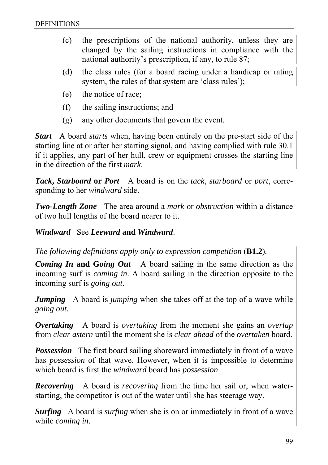- (c) the prescriptions of the national authority, unless they are changed by the sailing instructions in compliance with the national authority's prescription, if any, to rule 87;
- (d) the class rules (for a board racing under a handicap or rating system, the rules of that system are 'class rules');
- (e) the notice of race;
- (f) the sailing instructions; and
- (g) any other documents that govern the event.

*Start* A board *starts* when, having been entirely on the pre-start side of the starting line at or after her starting signal, and having complied with rule 30.1 if it applies, any part of her hull, crew or equipment crosses the starting line in the direction of the first *mark*.

*Tack***,** *Starboard* **or** *Port* A board is on the *tack*, *starboard* or *port*, corresponding to her *windward* side.

*Two-Length Zone* The area around a *mark* or *obstruction* within a distance of two hull lengths of the board nearer to it.

#### *Windward* See *Leeward* **and** *Windward*.

*The following definitions apply only to expression competition* (**B1.2**).

**Coming In and Going Out** A board sailing in the same direction as the incoming surf is *coming in*. A board sailing in the direction opposite to the incoming surf is *going out*.

*Jumping* A board is *jumping* when she takes off at the top of a wave while *going out*.

*Overtaking* A board is *overtaking* from the moment she gains an *overlap* from *clear astern* until the moment she is *clear ahead* of the *overtaken* board.

**Possession** The first board sailing shoreward immediately in front of a wave has *possession* of that wave. However, when it is impossible to determine which board is first the *windward* board has *possession*.

*Recovering* A board is *recovering* from the time her sail or, when waterstarting, the competitor is out of the water until she has steerage way.

*Surfing* A board is *surfing* when she is on or immediately in front of a wave while *coming in*.